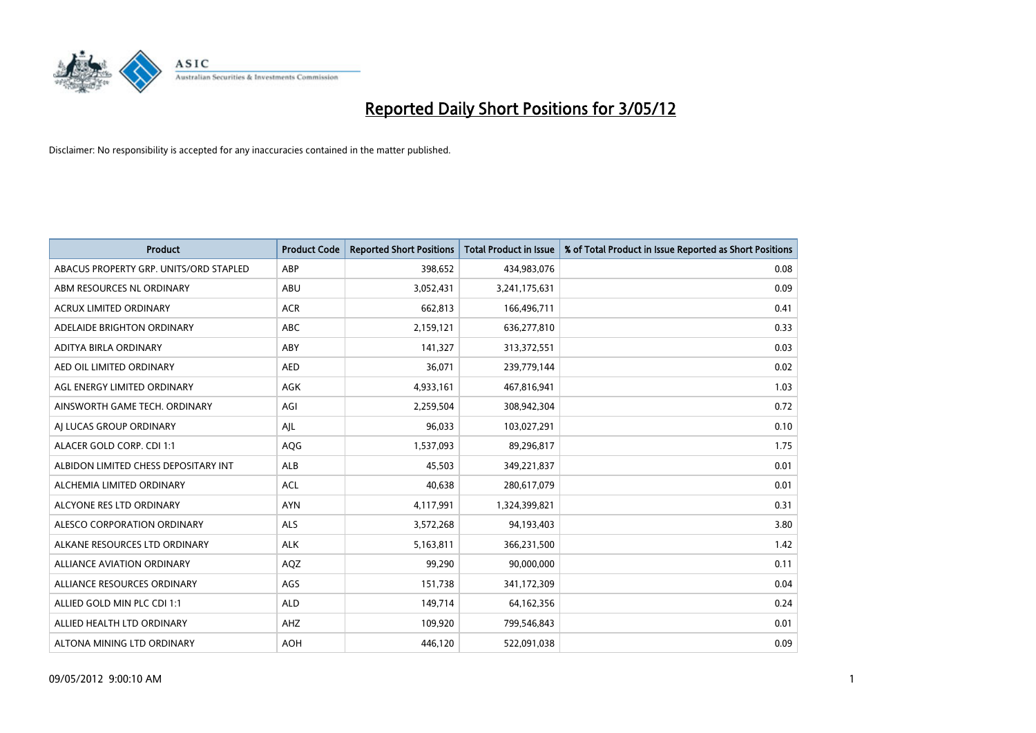

| <b>Product</b>                         | <b>Product Code</b> | <b>Reported Short Positions</b> | <b>Total Product in Issue</b> | % of Total Product in Issue Reported as Short Positions |
|----------------------------------------|---------------------|---------------------------------|-------------------------------|---------------------------------------------------------|
| ABACUS PROPERTY GRP. UNITS/ORD STAPLED | ABP                 | 398,652                         | 434,983,076                   | 0.08                                                    |
| ABM RESOURCES NL ORDINARY              | ABU                 | 3,052,431                       | 3,241,175,631                 | 0.09                                                    |
| <b>ACRUX LIMITED ORDINARY</b>          | <b>ACR</b>          | 662,813                         | 166,496,711                   | 0.41                                                    |
| ADELAIDE BRIGHTON ORDINARY             | <b>ABC</b>          | 2,159,121                       | 636,277,810                   | 0.33                                                    |
| ADITYA BIRLA ORDINARY                  | ABY                 | 141,327                         | 313,372,551                   | 0.03                                                    |
| AED OIL LIMITED ORDINARY               | <b>AED</b>          | 36,071                          | 239,779,144                   | 0.02                                                    |
| AGL ENERGY LIMITED ORDINARY            | AGK                 | 4,933,161                       | 467,816,941                   | 1.03                                                    |
| AINSWORTH GAME TECH. ORDINARY          | AGI                 | 2,259,504                       | 308,942,304                   | 0.72                                                    |
| AJ LUCAS GROUP ORDINARY                | AJL                 | 96,033                          | 103,027,291                   | 0.10                                                    |
| ALACER GOLD CORP. CDI 1:1              | AQG                 | 1,537,093                       | 89,296,817                    | 1.75                                                    |
| ALBIDON LIMITED CHESS DEPOSITARY INT   | <b>ALB</b>          | 45,503                          | 349,221,837                   | 0.01                                                    |
| ALCHEMIA LIMITED ORDINARY              | <b>ACL</b>          | 40,638                          | 280,617,079                   | 0.01                                                    |
| ALCYONE RES LTD ORDINARY               | <b>AYN</b>          | 4,117,991                       | 1,324,399,821                 | 0.31                                                    |
| ALESCO CORPORATION ORDINARY            | ALS                 | 3,572,268                       | 94,193,403                    | 3.80                                                    |
| ALKANE RESOURCES LTD ORDINARY          | <b>ALK</b>          | 5,163,811                       | 366,231,500                   | 1.42                                                    |
| ALLIANCE AVIATION ORDINARY             | AQZ                 | 99,290                          | 90,000,000                    | 0.11                                                    |
| ALLIANCE RESOURCES ORDINARY            | AGS                 | 151,738                         | 341,172,309                   | 0.04                                                    |
| ALLIED GOLD MIN PLC CDI 1:1            | <b>ALD</b>          | 149,714                         | 64,162,356                    | 0.24                                                    |
| ALLIED HEALTH LTD ORDINARY             | AHZ                 | 109,920                         | 799,546,843                   | 0.01                                                    |
| ALTONA MINING LTD ORDINARY             | <b>AOH</b>          | 446,120                         | 522,091,038                   | 0.09                                                    |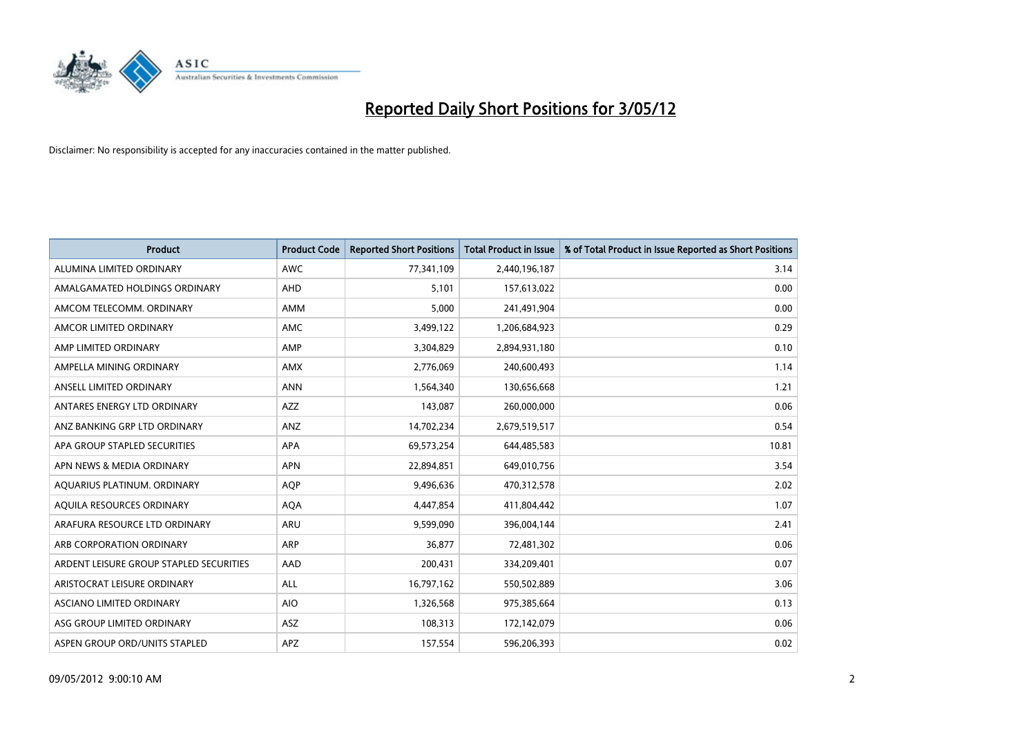

| <b>Product</b>                          | <b>Product Code</b> | <b>Reported Short Positions</b> | <b>Total Product in Issue</b> | % of Total Product in Issue Reported as Short Positions |
|-----------------------------------------|---------------------|---------------------------------|-------------------------------|---------------------------------------------------------|
| ALUMINA LIMITED ORDINARY                | <b>AWC</b>          | 77,341,109                      | 2,440,196,187                 | 3.14                                                    |
| AMALGAMATED HOLDINGS ORDINARY           | AHD                 | 5,101                           | 157,613,022                   | 0.00                                                    |
| AMCOM TELECOMM, ORDINARY                | AMM                 | 5,000                           | 241,491,904                   | 0.00                                                    |
| AMCOR LIMITED ORDINARY                  | AMC                 | 3,499,122                       | 1,206,684,923                 | 0.29                                                    |
| AMP LIMITED ORDINARY                    | AMP                 | 3,304,829                       | 2,894,931,180                 | 0.10                                                    |
| AMPELLA MINING ORDINARY                 | <b>AMX</b>          | 2,776,069                       | 240,600,493                   | 1.14                                                    |
| ANSELL LIMITED ORDINARY                 | <b>ANN</b>          | 1,564,340                       | 130,656,668                   | 1.21                                                    |
| ANTARES ENERGY LTD ORDINARY             | AZZ                 | 143,087                         | 260,000,000                   | 0.06                                                    |
| ANZ BANKING GRP LTD ORDINARY            | ANZ                 | 14,702,234                      | 2,679,519,517                 | 0.54                                                    |
| APA GROUP STAPLED SECURITIES            | <b>APA</b>          | 69,573,254                      | 644,485,583                   | 10.81                                                   |
| APN NEWS & MEDIA ORDINARY               | <b>APN</b>          | 22,894,851                      | 649,010,756                   | 3.54                                                    |
| AQUARIUS PLATINUM. ORDINARY             | <b>AOP</b>          | 9,496,636                       | 470,312,578                   | 2.02                                                    |
| AQUILA RESOURCES ORDINARY               | <b>AQA</b>          | 4,447,854                       | 411,804,442                   | 1.07                                                    |
| ARAFURA RESOURCE LTD ORDINARY           | <b>ARU</b>          | 9,599,090                       | 396,004,144                   | 2.41                                                    |
| ARB CORPORATION ORDINARY                | ARP                 | 36,877                          | 72,481,302                    | 0.06                                                    |
| ARDENT LEISURE GROUP STAPLED SECURITIES | <b>AAD</b>          | 200,431                         | 334,209,401                   | 0.07                                                    |
| ARISTOCRAT LEISURE ORDINARY             | ALL                 | 16,797,162                      | 550,502,889                   | 3.06                                                    |
| ASCIANO LIMITED ORDINARY                | <b>AIO</b>          | 1,326,568                       | 975,385,664                   | 0.13                                                    |
| ASG GROUP LIMITED ORDINARY              | ASZ                 | 108,313                         | 172,142,079                   | 0.06                                                    |
| ASPEN GROUP ORD/UNITS STAPLED           | APZ                 | 157,554                         | 596,206,393                   | 0.02                                                    |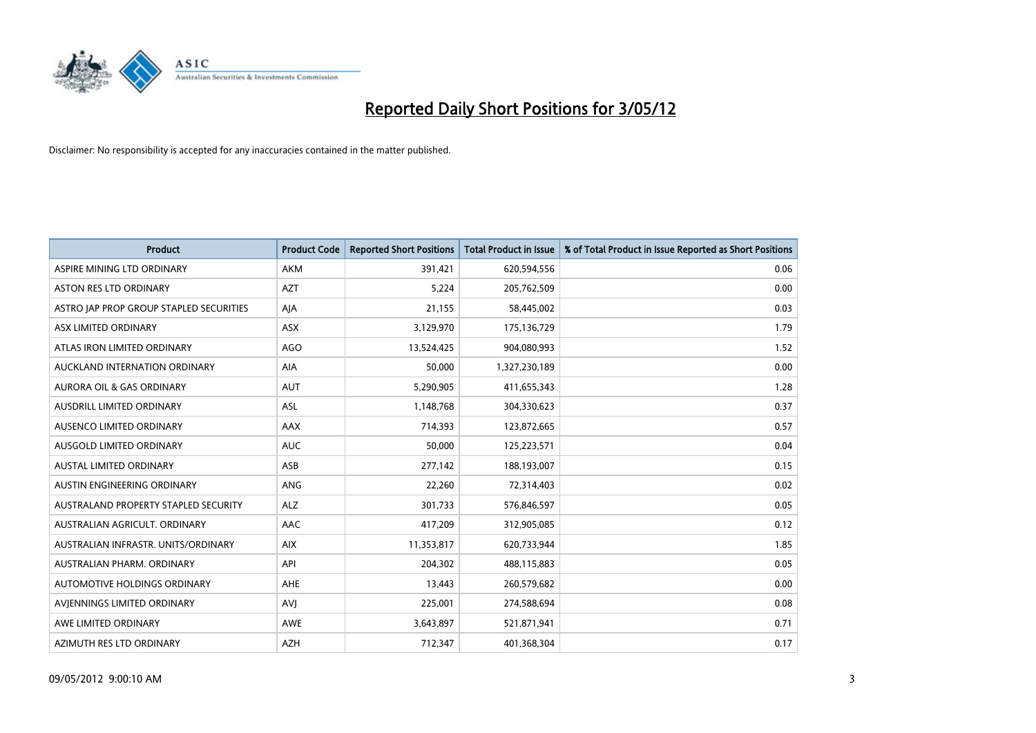

| <b>Product</b>                          | <b>Product Code</b> | <b>Reported Short Positions</b> | <b>Total Product in Issue</b> | % of Total Product in Issue Reported as Short Positions |
|-----------------------------------------|---------------------|---------------------------------|-------------------------------|---------------------------------------------------------|
| ASPIRE MINING LTD ORDINARY              | AKM                 | 391,421                         | 620,594,556                   | 0.06                                                    |
| ASTON RES LTD ORDINARY                  | <b>AZT</b>          | 5,224                           | 205,762,509                   | 0.00                                                    |
| ASTRO JAP PROP GROUP STAPLED SECURITIES | AJA                 | 21,155                          | 58,445,002                    | 0.03                                                    |
| ASX LIMITED ORDINARY                    | ASX                 | 3,129,970                       | 175,136,729                   | 1.79                                                    |
| ATLAS IRON LIMITED ORDINARY             | <b>AGO</b>          | 13,524,425                      | 904,080,993                   | 1.52                                                    |
| AUCKLAND INTERNATION ORDINARY           | AIA                 | 50,000                          | 1,327,230,189                 | 0.00                                                    |
| AURORA OIL & GAS ORDINARY               | <b>AUT</b>          | 5,290,905                       | 411,655,343                   | 1.28                                                    |
| AUSDRILL LIMITED ORDINARY               | ASL                 | 1,148,768                       | 304,330,623                   | 0.37                                                    |
| AUSENCO LIMITED ORDINARY                | AAX                 | 714,393                         | 123,872,665                   | 0.57                                                    |
| AUSGOLD LIMITED ORDINARY                | <b>AUC</b>          | 50,000                          | 125,223,571                   | 0.04                                                    |
| <b>AUSTAL LIMITED ORDINARY</b>          | ASB                 | 277,142                         | 188,193,007                   | 0.15                                                    |
| AUSTIN ENGINEERING ORDINARY             | ANG                 | 22,260                          | 72,314,403                    | 0.02                                                    |
| AUSTRALAND PROPERTY STAPLED SECURITY    | <b>ALZ</b>          | 301,733                         | 576,846,597                   | 0.05                                                    |
| AUSTRALIAN AGRICULT. ORDINARY           | AAC                 | 417,209                         | 312,905,085                   | 0.12                                                    |
| AUSTRALIAN INFRASTR, UNITS/ORDINARY     | <b>AIX</b>          | 11,353,817                      | 620,733,944                   | 1.85                                                    |
| AUSTRALIAN PHARM, ORDINARY              | API                 | 204,302                         | 488,115,883                   | 0.05                                                    |
| AUTOMOTIVE HOLDINGS ORDINARY            | AHE                 | 13,443                          | 260,579,682                   | 0.00                                                    |
| AVIENNINGS LIMITED ORDINARY             | <b>AVJ</b>          | 225,001                         | 274,588,694                   | 0.08                                                    |
| AWE LIMITED ORDINARY                    | <b>AWE</b>          | 3,643,897                       | 521,871,941                   | 0.71                                                    |
| AZIMUTH RES LTD ORDINARY                | <b>AZH</b>          | 712,347                         | 401,368,304                   | 0.17                                                    |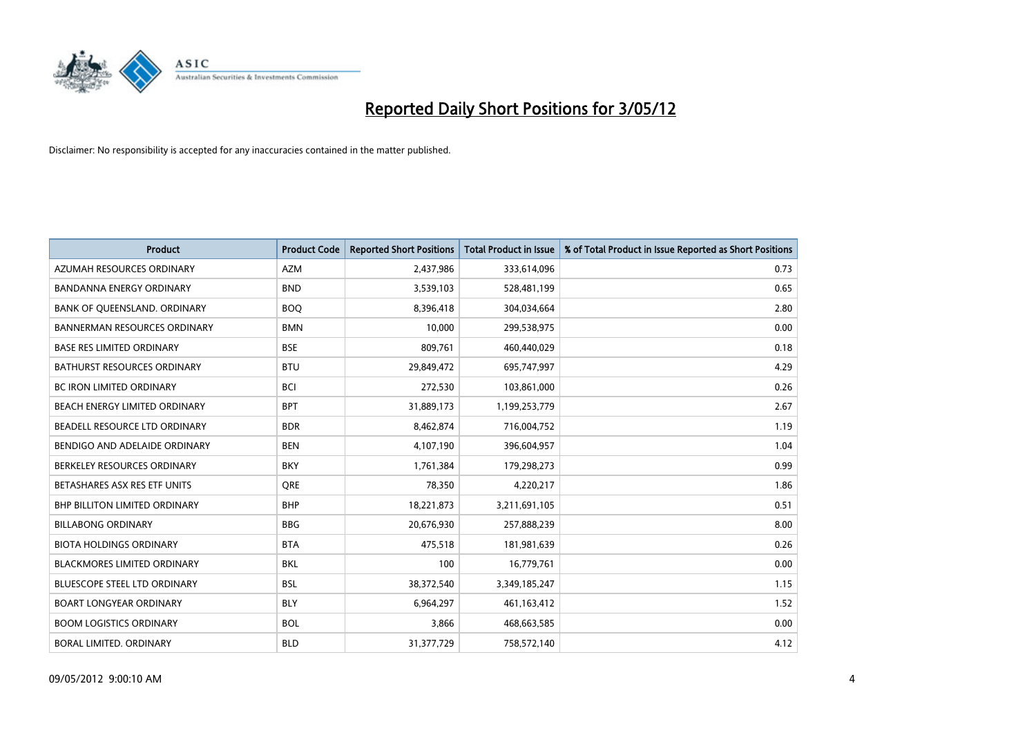

| <b>Product</b>                       | <b>Product Code</b> | <b>Reported Short Positions</b> | <b>Total Product in Issue</b> | % of Total Product in Issue Reported as Short Positions |
|--------------------------------------|---------------------|---------------------------------|-------------------------------|---------------------------------------------------------|
| AZUMAH RESOURCES ORDINARY            | <b>AZM</b>          | 2,437,986                       | 333,614,096                   | 0.73                                                    |
| <b>BANDANNA ENERGY ORDINARY</b>      | <b>BND</b>          | 3,539,103                       | 528,481,199                   | 0.65                                                    |
| BANK OF QUEENSLAND. ORDINARY         | <b>BOQ</b>          | 8,396,418                       | 304,034,664                   | 2.80                                                    |
| <b>BANNERMAN RESOURCES ORDINARY</b>  | <b>BMN</b>          | 10,000                          | 299,538,975                   | 0.00                                                    |
| <b>BASE RES LIMITED ORDINARY</b>     | <b>BSE</b>          | 809,761                         | 460,440,029                   | 0.18                                                    |
| <b>BATHURST RESOURCES ORDINARY</b>   | <b>BTU</b>          | 29,849,472                      | 695,747,997                   | 4.29                                                    |
| <b>BC IRON LIMITED ORDINARY</b>      | <b>BCI</b>          | 272,530                         | 103,861,000                   | 0.26                                                    |
| BEACH ENERGY LIMITED ORDINARY        | <b>BPT</b>          | 31,889,173                      | 1,199,253,779                 | 2.67                                                    |
| BEADELL RESOURCE LTD ORDINARY        | <b>BDR</b>          | 8,462,874                       | 716,004,752                   | 1.19                                                    |
| BENDIGO AND ADELAIDE ORDINARY        | <b>BEN</b>          | 4,107,190                       | 396,604,957                   | 1.04                                                    |
| BERKELEY RESOURCES ORDINARY          | <b>BKY</b>          | 1,761,384                       | 179,298,273                   | 0.99                                                    |
| BETASHARES ASX RES ETF UNITS         | <b>ORE</b>          | 78,350                          | 4,220,217                     | 1.86                                                    |
| <b>BHP BILLITON LIMITED ORDINARY</b> | <b>BHP</b>          | 18,221,873                      | 3,211,691,105                 | 0.51                                                    |
| <b>BILLABONG ORDINARY</b>            | <b>BBG</b>          | 20,676,930                      | 257,888,239                   | 8.00                                                    |
| <b>BIOTA HOLDINGS ORDINARY</b>       | <b>BTA</b>          | 475,518                         | 181,981,639                   | 0.26                                                    |
| <b>BLACKMORES LIMITED ORDINARY</b>   | <b>BKL</b>          | 100                             | 16,779,761                    | 0.00                                                    |
| <b>BLUESCOPE STEEL LTD ORDINARY</b>  | <b>BSL</b>          | 38,372,540                      | 3,349,185,247                 | 1.15                                                    |
| BOART LONGYEAR ORDINARY              | <b>BLY</b>          | 6,964,297                       | 461,163,412                   | 1.52                                                    |
| <b>BOOM LOGISTICS ORDINARY</b>       | <b>BOL</b>          | 3,866                           | 468,663,585                   | 0.00                                                    |
| BORAL LIMITED, ORDINARY              | <b>BLD</b>          | 31,377,729                      | 758,572,140                   | 4.12                                                    |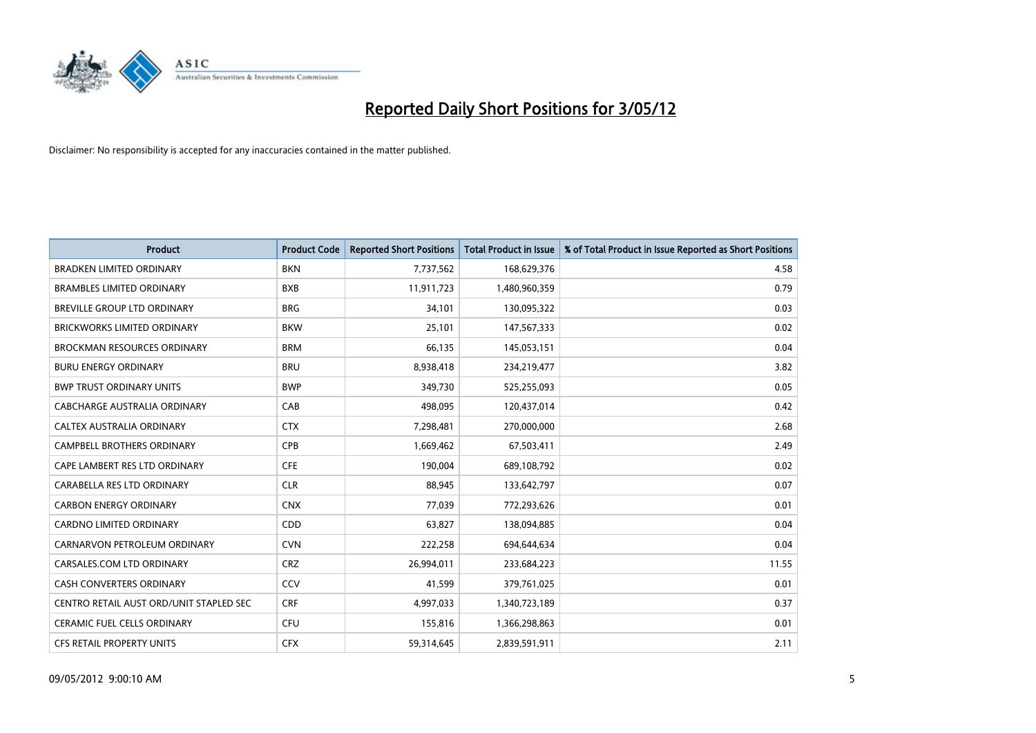

| <b>Product</b>                          | <b>Product Code</b> | <b>Reported Short Positions</b> | <b>Total Product in Issue</b> | % of Total Product in Issue Reported as Short Positions |
|-----------------------------------------|---------------------|---------------------------------|-------------------------------|---------------------------------------------------------|
| <b>BRADKEN LIMITED ORDINARY</b>         | <b>BKN</b>          | 7,737,562                       | 168,629,376                   | 4.58                                                    |
| <b>BRAMBLES LIMITED ORDINARY</b>        | <b>BXB</b>          | 11,911,723                      | 1,480,960,359                 | 0.79                                                    |
| <b>BREVILLE GROUP LTD ORDINARY</b>      | <b>BRG</b>          | 34,101                          | 130,095,322                   | 0.03                                                    |
| <b>BRICKWORKS LIMITED ORDINARY</b>      | <b>BKW</b>          | 25,101                          | 147,567,333                   | 0.02                                                    |
| <b>BROCKMAN RESOURCES ORDINARY</b>      | <b>BRM</b>          | 66,135                          | 145,053,151                   | 0.04                                                    |
| <b>BURU ENERGY ORDINARY</b>             | <b>BRU</b>          | 8,938,418                       | 234,219,477                   | 3.82                                                    |
| <b>BWP TRUST ORDINARY UNITS</b>         | <b>BWP</b>          | 349,730                         | 525,255,093                   | 0.05                                                    |
| CABCHARGE AUSTRALIA ORDINARY            | CAB                 | 498,095                         | 120,437,014                   | 0.42                                                    |
| CALTEX AUSTRALIA ORDINARY               | <b>CTX</b>          | 7,298,481                       | 270,000,000                   | 2.68                                                    |
| <b>CAMPBELL BROTHERS ORDINARY</b>       | <b>CPB</b>          | 1,669,462                       | 67,503,411                    | 2.49                                                    |
| CAPE LAMBERT RES LTD ORDINARY           | <b>CFE</b>          | 190,004                         | 689,108,792                   | 0.02                                                    |
| CARABELLA RES LTD ORDINARY              | <b>CLR</b>          | 88,945                          | 133,642,797                   | 0.07                                                    |
| <b>CARBON ENERGY ORDINARY</b>           | <b>CNX</b>          | 77,039                          | 772,293,626                   | 0.01                                                    |
| <b>CARDNO LIMITED ORDINARY</b>          | CDD                 | 63,827                          | 138,094,885                   | 0.04                                                    |
| CARNARVON PETROLEUM ORDINARY            | <b>CVN</b>          | 222,258                         | 694,644,634                   | 0.04                                                    |
| CARSALES.COM LTD ORDINARY               | <b>CRZ</b>          | 26,994,011                      | 233,684,223                   | 11.55                                                   |
| CASH CONVERTERS ORDINARY                | CCV                 | 41,599                          | 379,761,025                   | 0.01                                                    |
| CENTRO RETAIL AUST ORD/UNIT STAPLED SEC | <b>CRF</b>          | 4,997,033                       | 1,340,723,189                 | 0.37                                                    |
| CERAMIC FUEL CELLS ORDINARY             | <b>CFU</b>          | 155,816                         | 1,366,298,863                 | 0.01                                                    |
| CFS RETAIL PROPERTY UNITS               | <b>CFX</b>          | 59,314,645                      | 2,839,591,911                 | 2.11                                                    |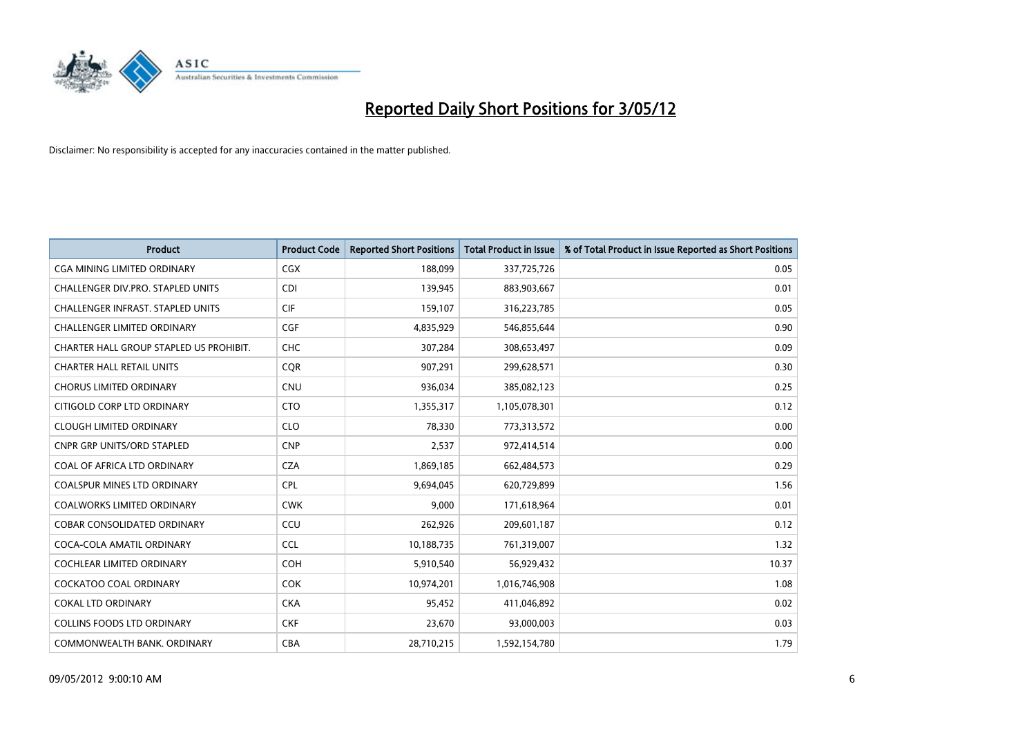

| <b>Product</b>                           | <b>Product Code</b> | <b>Reported Short Positions</b> | <b>Total Product in Issue</b> | % of Total Product in Issue Reported as Short Positions |
|------------------------------------------|---------------------|---------------------------------|-------------------------------|---------------------------------------------------------|
| <b>CGA MINING LIMITED ORDINARY</b>       | <b>CGX</b>          | 188,099                         | 337,725,726                   | 0.05                                                    |
| CHALLENGER DIV.PRO. STAPLED UNITS        | <b>CDI</b>          | 139,945                         | 883,903,667                   | 0.01                                                    |
| <b>CHALLENGER INFRAST, STAPLED UNITS</b> | <b>CIF</b>          | 159,107                         | 316,223,785                   | 0.05                                                    |
| <b>CHALLENGER LIMITED ORDINARY</b>       | <b>CGF</b>          | 4,835,929                       | 546,855,644                   | 0.90                                                    |
| CHARTER HALL GROUP STAPLED US PROHIBIT.  | <b>CHC</b>          | 307,284                         | 308,653,497                   | 0.09                                                    |
| <b>CHARTER HALL RETAIL UNITS</b>         | CQR                 | 907,291                         | 299,628,571                   | 0.30                                                    |
| <b>CHORUS LIMITED ORDINARY</b>           | <b>CNU</b>          | 936,034                         | 385,082,123                   | 0.25                                                    |
| CITIGOLD CORP LTD ORDINARY               | <b>CTO</b>          | 1,355,317                       | 1,105,078,301                 | 0.12                                                    |
| <b>CLOUGH LIMITED ORDINARY</b>           | <b>CLO</b>          | 78,330                          | 773,313,572                   | 0.00                                                    |
| <b>CNPR GRP UNITS/ORD STAPLED</b>        | <b>CNP</b>          | 2,537                           | 972,414,514                   | 0.00                                                    |
| COAL OF AFRICA LTD ORDINARY              | <b>CZA</b>          | 1,869,185                       | 662,484,573                   | 0.29                                                    |
| <b>COALSPUR MINES LTD ORDINARY</b>       | <b>CPL</b>          | 9,694,045                       | 620,729,899                   | 1.56                                                    |
| COALWORKS LIMITED ORDINARY               | <b>CWK</b>          | 9,000                           | 171,618,964                   | 0.01                                                    |
| <b>COBAR CONSOLIDATED ORDINARY</b>       | CCU                 | 262,926                         | 209,601,187                   | 0.12                                                    |
| COCA-COLA AMATIL ORDINARY                | <b>CCL</b>          | 10,188,735                      | 761,319,007                   | 1.32                                                    |
| COCHLEAR LIMITED ORDINARY                | <b>COH</b>          | 5,910,540                       | 56,929,432                    | 10.37                                                   |
| <b>COCKATOO COAL ORDINARY</b>            | <b>COK</b>          | 10,974,201                      | 1,016,746,908                 | 1.08                                                    |
| COKAL LTD ORDINARY                       | <b>CKA</b>          | 95,452                          | 411,046,892                   | 0.02                                                    |
| <b>COLLINS FOODS LTD ORDINARY</b>        | <b>CKF</b>          | 23,670                          | 93,000,003                    | 0.03                                                    |
| COMMONWEALTH BANK, ORDINARY              | <b>CBA</b>          | 28,710,215                      | 1,592,154,780                 | 1.79                                                    |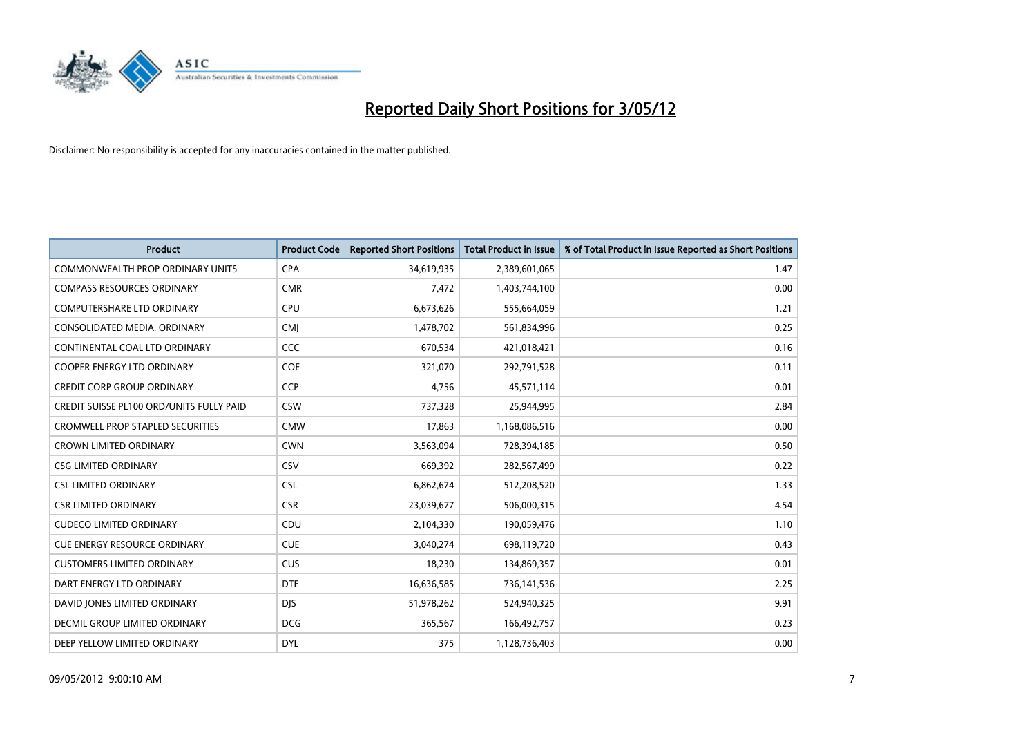

| <b>Product</b>                                  | <b>Product Code</b> | <b>Reported Short Positions</b> | <b>Total Product in Issue</b> | % of Total Product in Issue Reported as Short Positions |
|-------------------------------------------------|---------------------|---------------------------------|-------------------------------|---------------------------------------------------------|
| <b>COMMONWEALTH PROP ORDINARY UNITS</b>         | <b>CPA</b>          | 34,619,935                      | 2,389,601,065                 | 1.47                                                    |
| <b>COMPASS RESOURCES ORDINARY</b>               | <b>CMR</b>          | 7,472                           | 1,403,744,100                 | 0.00                                                    |
| <b>COMPUTERSHARE LTD ORDINARY</b>               | <b>CPU</b>          | 6,673,626                       | 555,664,059                   | 1.21                                                    |
| CONSOLIDATED MEDIA. ORDINARY                    | <b>CMI</b>          | 1,478,702                       | 561,834,996                   | 0.25                                                    |
| CONTINENTAL COAL LTD ORDINARY                   | <b>CCC</b>          | 670,534                         | 421,018,421                   | 0.16                                                    |
| <b>COOPER ENERGY LTD ORDINARY</b>               | <b>COE</b>          | 321,070                         | 292,791,528                   | 0.11                                                    |
| <b>CREDIT CORP GROUP ORDINARY</b>               | <b>CCP</b>          | 4,756                           | 45,571,114                    | 0.01                                                    |
| <b>CREDIT SUISSE PL100 ORD/UNITS FULLY PAID</b> | <b>CSW</b>          | 737,328                         | 25,944,995                    | 2.84                                                    |
| CROMWELL PROP STAPLED SECURITIES                | <b>CMW</b>          | 17,863                          | 1,168,086,516                 | 0.00                                                    |
| <b>CROWN LIMITED ORDINARY</b>                   | <b>CWN</b>          | 3,563,094                       | 728,394,185                   | 0.50                                                    |
| <b>CSG LIMITED ORDINARY</b>                     | CSV                 | 669,392                         | 282,567,499                   | 0.22                                                    |
| <b>CSL LIMITED ORDINARY</b>                     | <b>CSL</b>          | 6,862,674                       | 512,208,520                   | 1.33                                                    |
| <b>CSR LIMITED ORDINARY</b>                     | <b>CSR</b>          | 23,039,677                      | 506,000,315                   | 4.54                                                    |
| <b>CUDECO LIMITED ORDINARY</b>                  | CDU                 | 2,104,330                       | 190,059,476                   | 1.10                                                    |
| <b>CUE ENERGY RESOURCE ORDINARY</b>             | <b>CUE</b>          | 3,040,274                       | 698,119,720                   | 0.43                                                    |
| <b>CUSTOMERS LIMITED ORDINARY</b>               | <b>CUS</b>          | 18,230                          | 134,869,357                   | 0.01                                                    |
| DART ENERGY LTD ORDINARY                        | <b>DTE</b>          | 16,636,585                      | 736,141,536                   | 2.25                                                    |
| DAVID JONES LIMITED ORDINARY                    | <b>DJS</b>          | 51,978,262                      | 524,940,325                   | 9.91                                                    |
| DECMIL GROUP LIMITED ORDINARY                   | <b>DCG</b>          | 365,567                         | 166,492,757                   | 0.23                                                    |
| DEEP YELLOW LIMITED ORDINARY                    | <b>DYL</b>          | 375                             | 1,128,736,403                 | 0.00                                                    |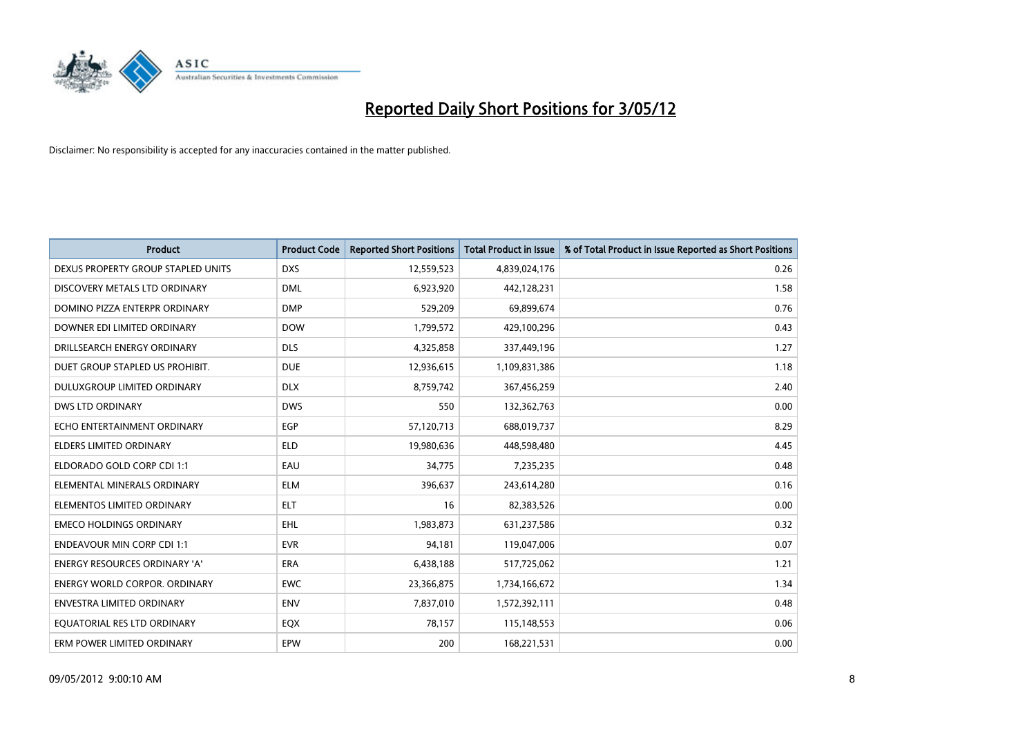

| <b>Product</b>                     | <b>Product Code</b> | <b>Reported Short Positions</b> | <b>Total Product in Issue</b> | % of Total Product in Issue Reported as Short Positions |
|------------------------------------|---------------------|---------------------------------|-------------------------------|---------------------------------------------------------|
| DEXUS PROPERTY GROUP STAPLED UNITS | <b>DXS</b>          | 12,559,523                      | 4,839,024,176                 | 0.26                                                    |
| DISCOVERY METALS LTD ORDINARY      | <b>DML</b>          | 6,923,920                       | 442,128,231                   | 1.58                                                    |
| DOMINO PIZZA ENTERPR ORDINARY      | <b>DMP</b>          | 529,209                         | 69,899,674                    | 0.76                                                    |
| DOWNER EDI LIMITED ORDINARY        | <b>DOW</b>          | 1,799,572                       | 429,100,296                   | 0.43                                                    |
| DRILLSEARCH ENERGY ORDINARY        | <b>DLS</b>          | 4,325,858                       | 337,449,196                   | 1.27                                                    |
| DUET GROUP STAPLED US PROHIBIT.    | <b>DUE</b>          | 12,936,615                      | 1,109,831,386                 | 1.18                                                    |
| DULUXGROUP LIMITED ORDINARY        | <b>DLX</b>          | 8,759,742                       | 367,456,259                   | 2.40                                                    |
| <b>DWS LTD ORDINARY</b>            | <b>DWS</b>          | 550                             | 132,362,763                   | 0.00                                                    |
| ECHO ENTERTAINMENT ORDINARY        | <b>EGP</b>          | 57,120,713                      | 688,019,737                   | 8.29                                                    |
| <b>ELDERS LIMITED ORDINARY</b>     | <b>ELD</b>          | 19,980,636                      | 448,598,480                   | 4.45                                                    |
| ELDORADO GOLD CORP CDI 1:1         | EAU                 | 34,775                          | 7,235,235                     | 0.48                                                    |
| ELEMENTAL MINERALS ORDINARY        | <b>ELM</b>          | 396,637                         | 243,614,280                   | 0.16                                                    |
| ELEMENTOS LIMITED ORDINARY         | <b>ELT</b>          | 16                              | 82,383,526                    | 0.00                                                    |
| <b>EMECO HOLDINGS ORDINARY</b>     | <b>EHL</b>          | 1,983,873                       | 631,237,586                   | 0.32                                                    |
| <b>ENDEAVOUR MIN CORP CDI 1:1</b>  | <b>EVR</b>          | 94,181                          | 119,047,006                   | 0.07                                                    |
| ENERGY RESOURCES ORDINARY 'A'      | ERA                 | 6,438,188                       | 517,725,062                   | 1.21                                                    |
| ENERGY WORLD CORPOR. ORDINARY      | <b>EWC</b>          | 23,366,875                      | 1,734,166,672                 | 1.34                                                    |
| <b>ENVESTRA LIMITED ORDINARY</b>   | <b>ENV</b>          | 7,837,010                       | 1,572,392,111                 | 0.48                                                    |
| EQUATORIAL RES LTD ORDINARY        | EQX                 | 78,157                          | 115,148,553                   | 0.06                                                    |
| ERM POWER LIMITED ORDINARY         | <b>EPW</b>          | 200                             | 168,221,531                   | 0.00                                                    |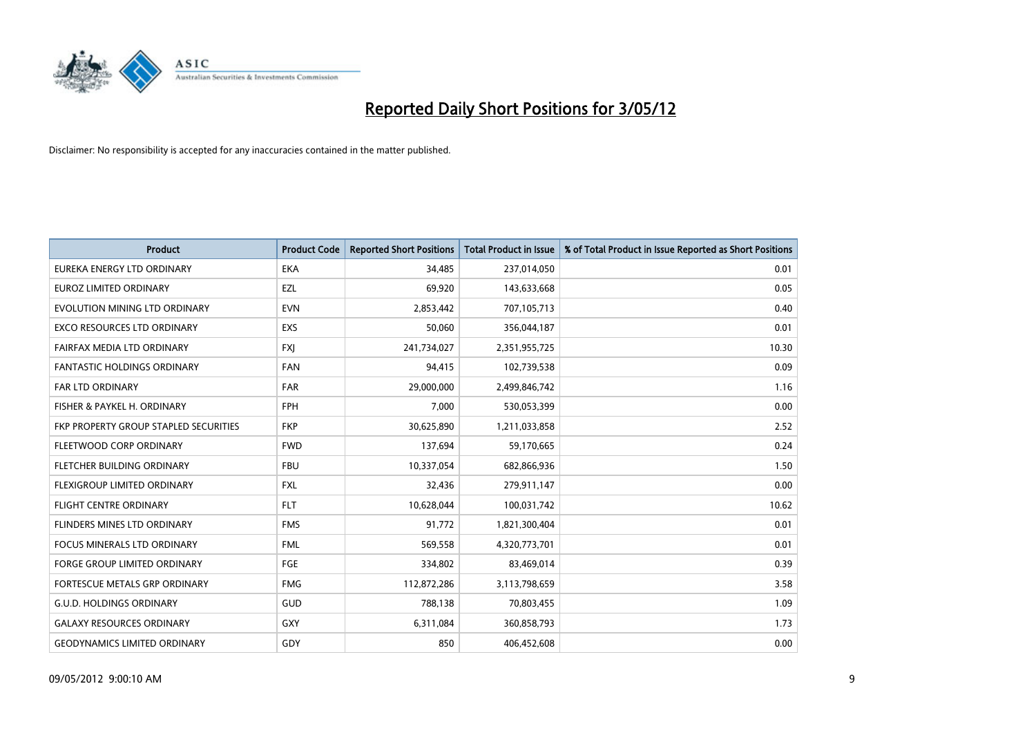

| <b>Product</b>                        | <b>Product Code</b> | <b>Reported Short Positions</b> | <b>Total Product in Issue</b> | % of Total Product in Issue Reported as Short Positions |
|---------------------------------------|---------------------|---------------------------------|-------------------------------|---------------------------------------------------------|
| EUREKA ENERGY LTD ORDINARY            | <b>EKA</b>          | 34,485                          | 237,014,050                   | 0.01                                                    |
| EUROZ LIMITED ORDINARY                | EZL                 | 69,920                          | 143,633,668                   | 0.05                                                    |
| EVOLUTION MINING LTD ORDINARY         | <b>EVN</b>          | 2,853,442                       | 707,105,713                   | 0.40                                                    |
| <b>EXCO RESOURCES LTD ORDINARY</b>    | <b>EXS</b>          | 50,060                          | 356,044,187                   | 0.01                                                    |
| FAIRFAX MEDIA LTD ORDINARY            | <b>FXI</b>          | 241,734,027                     | 2,351,955,725                 | 10.30                                                   |
| <b>FANTASTIC HOLDINGS ORDINARY</b>    | <b>FAN</b>          | 94,415                          | 102,739,538                   | 0.09                                                    |
| <b>FAR LTD ORDINARY</b>               | <b>FAR</b>          | 29,000,000                      | 2,499,846,742                 | 1.16                                                    |
| FISHER & PAYKEL H. ORDINARY           | <b>FPH</b>          | 7,000                           | 530,053,399                   | 0.00                                                    |
| FKP PROPERTY GROUP STAPLED SECURITIES | <b>FKP</b>          | 30,625,890                      | 1,211,033,858                 | 2.52                                                    |
| FLEETWOOD CORP ORDINARY               | <b>FWD</b>          | 137,694                         | 59,170,665                    | 0.24                                                    |
| FLETCHER BUILDING ORDINARY            | <b>FBU</b>          | 10,337,054                      | 682,866,936                   | 1.50                                                    |
| <b>FLEXIGROUP LIMITED ORDINARY</b>    | <b>FXL</b>          | 32,436                          | 279,911,147                   | 0.00                                                    |
| <b>FLIGHT CENTRE ORDINARY</b>         | <b>FLT</b>          | 10,628,044                      | 100,031,742                   | 10.62                                                   |
| FLINDERS MINES LTD ORDINARY           | <b>FMS</b>          | 91,772                          | 1,821,300,404                 | 0.01                                                    |
| FOCUS MINERALS LTD ORDINARY           | <b>FML</b>          | 569,558                         | 4,320,773,701                 | 0.01                                                    |
| <b>FORGE GROUP LIMITED ORDINARY</b>   | <b>FGE</b>          | 334,802                         | 83,469,014                    | 0.39                                                    |
| <b>FORTESCUE METALS GRP ORDINARY</b>  | <b>FMG</b>          | 112,872,286                     | 3,113,798,659                 | 3.58                                                    |
| <b>G.U.D. HOLDINGS ORDINARY</b>       | GUD                 | 788.138                         | 70,803,455                    | 1.09                                                    |
| <b>GALAXY RESOURCES ORDINARY</b>      | <b>GXY</b>          | 6,311,084                       | 360,858,793                   | 1.73                                                    |
| <b>GEODYNAMICS LIMITED ORDINARY</b>   | GDY                 | 850                             | 406,452,608                   | 0.00                                                    |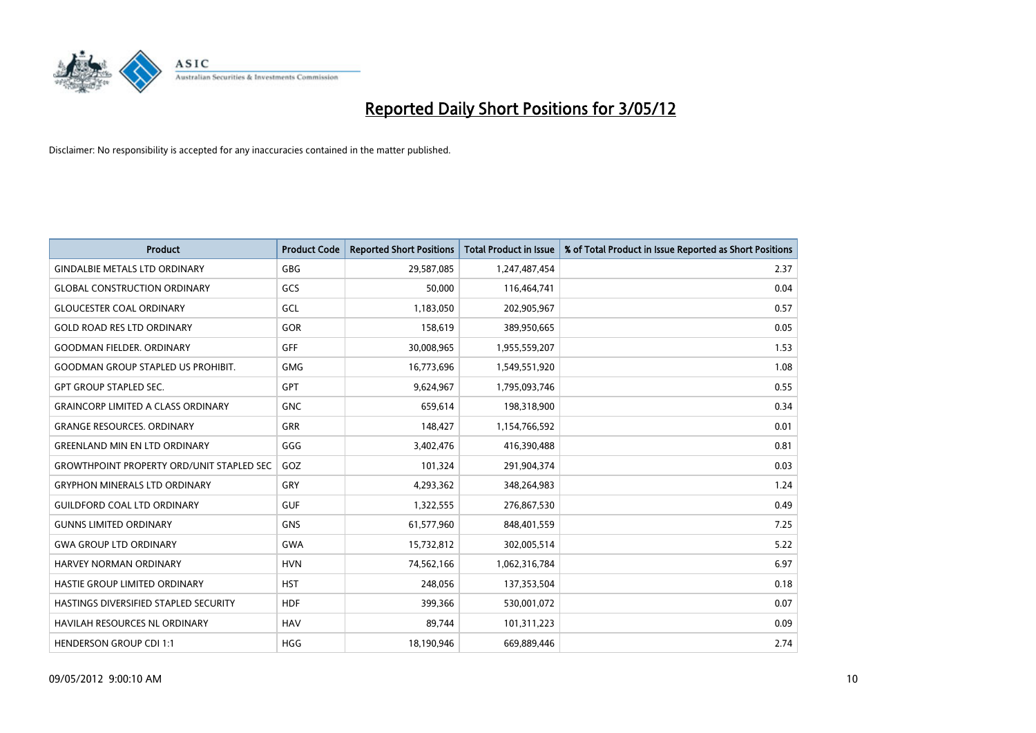

| <b>Product</b>                                   | <b>Product Code</b> | <b>Reported Short Positions</b> | <b>Total Product in Issue</b> | % of Total Product in Issue Reported as Short Positions |
|--------------------------------------------------|---------------------|---------------------------------|-------------------------------|---------------------------------------------------------|
| <b>GINDALBIE METALS LTD ORDINARY</b>             | <b>GBG</b>          | 29,587,085                      | 1,247,487,454                 | 2.37                                                    |
| <b>GLOBAL CONSTRUCTION ORDINARY</b>              | GCS                 | 50,000                          | 116,464,741                   | 0.04                                                    |
| <b>GLOUCESTER COAL ORDINARY</b>                  | GCL                 | 1,183,050                       | 202,905,967                   | 0.57                                                    |
| <b>GOLD ROAD RES LTD ORDINARY</b>                | GOR                 | 158,619                         | 389,950,665                   | 0.05                                                    |
| <b>GOODMAN FIELDER, ORDINARY</b>                 | <b>GFF</b>          | 30,008,965                      | 1,955,559,207                 | 1.53                                                    |
| <b>GOODMAN GROUP STAPLED US PROHIBIT.</b>        | <b>GMG</b>          | 16,773,696                      | 1,549,551,920                 | 1.08                                                    |
| <b>GPT GROUP STAPLED SEC.</b>                    | GPT                 | 9,624,967                       | 1,795,093,746                 | 0.55                                                    |
| <b>GRAINCORP LIMITED A CLASS ORDINARY</b>        | <b>GNC</b>          | 659,614                         | 198,318,900                   | 0.34                                                    |
| <b>GRANGE RESOURCES, ORDINARY</b>                | <b>GRR</b>          | 148,427                         | 1,154,766,592                 | 0.01                                                    |
| <b>GREENLAND MIN EN LTD ORDINARY</b>             | GGG                 | 3,402,476                       | 416,390,488                   | 0.81                                                    |
| <b>GROWTHPOINT PROPERTY ORD/UNIT STAPLED SEC</b> | GOZ                 | 101,324                         | 291,904,374                   | 0.03                                                    |
| <b>GRYPHON MINERALS LTD ORDINARY</b>             | GRY                 | 4,293,362                       | 348,264,983                   | 1.24                                                    |
| <b>GUILDFORD COAL LTD ORDINARY</b>               | <b>GUF</b>          | 1,322,555                       | 276,867,530                   | 0.49                                                    |
| <b>GUNNS LIMITED ORDINARY</b>                    | <b>GNS</b>          | 61,577,960                      | 848,401,559                   | 7.25                                                    |
| <b>GWA GROUP LTD ORDINARY</b>                    | <b>GWA</b>          | 15,732,812                      | 302,005,514                   | 5.22                                                    |
| HARVEY NORMAN ORDINARY                           | <b>HVN</b>          | 74,562,166                      | 1,062,316,784                 | 6.97                                                    |
| HASTIE GROUP LIMITED ORDINARY                    | <b>HST</b>          | 248,056                         | 137,353,504                   | 0.18                                                    |
| HASTINGS DIVERSIFIED STAPLED SECURITY            | <b>HDF</b>          | 399,366                         | 530,001,072                   | 0.07                                                    |
| <b>HAVILAH RESOURCES NL ORDINARY</b>             | <b>HAV</b>          | 89,744                          | 101,311,223                   | 0.09                                                    |
| <b>HENDERSON GROUP CDI 1:1</b>                   | <b>HGG</b>          | 18,190,946                      | 669,889,446                   | 2.74                                                    |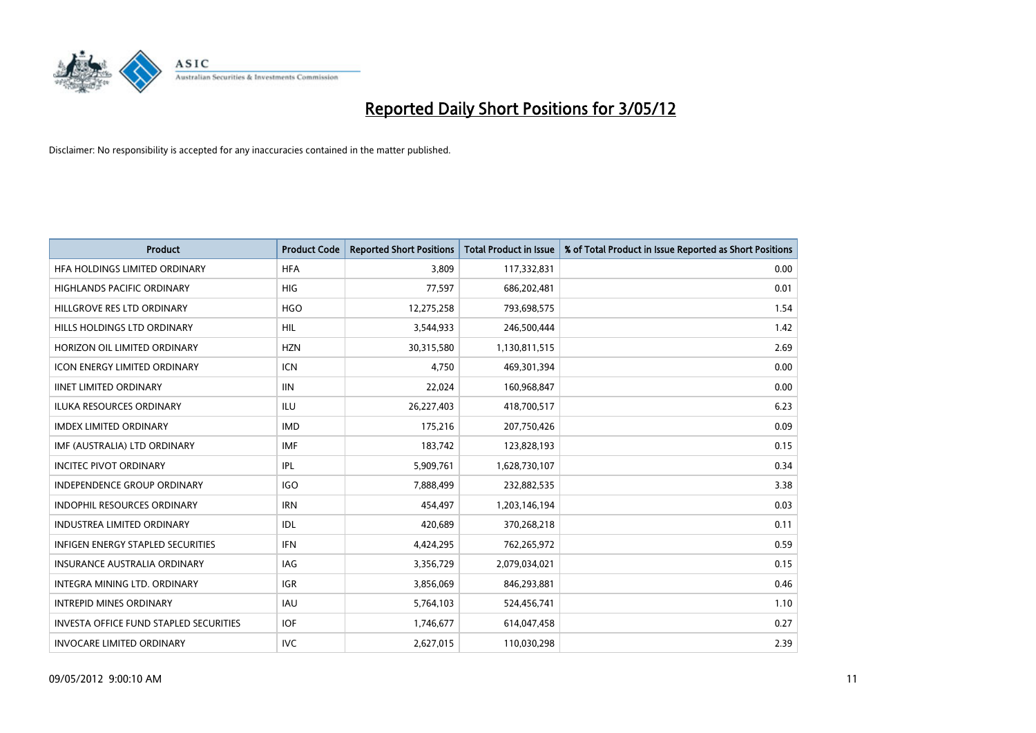

| <b>Product</b>                                | <b>Product Code</b> | <b>Reported Short Positions</b> | <b>Total Product in Issue</b> | % of Total Product in Issue Reported as Short Positions |
|-----------------------------------------------|---------------------|---------------------------------|-------------------------------|---------------------------------------------------------|
| HFA HOLDINGS LIMITED ORDINARY                 | <b>HFA</b>          | 3.809                           | 117,332,831                   | 0.00                                                    |
| HIGHLANDS PACIFIC ORDINARY                    | <b>HIG</b>          | 77,597                          | 686,202,481                   | 0.01                                                    |
| HILLGROVE RES LTD ORDINARY                    | <b>HGO</b>          | 12,275,258                      | 793,698,575                   | 1.54                                                    |
| HILLS HOLDINGS LTD ORDINARY                   | <b>HIL</b>          | 3,544,933                       | 246,500,444                   | 1.42                                                    |
| HORIZON OIL LIMITED ORDINARY                  | <b>HZN</b>          | 30,315,580                      | 1,130,811,515                 | 2.69                                                    |
| <b>ICON ENERGY LIMITED ORDINARY</b>           | <b>ICN</b>          | 4,750                           | 469,301,394                   | 0.00                                                    |
| <b>IINET LIMITED ORDINARY</b>                 | <b>IIN</b>          | 22,024                          | 160,968,847                   | 0.00                                                    |
| ILUKA RESOURCES ORDINARY                      | ILU                 | 26,227,403                      | 418,700,517                   | 6.23                                                    |
| <b>IMDEX LIMITED ORDINARY</b>                 | <b>IMD</b>          | 175,216                         | 207,750,426                   | 0.09                                                    |
| IMF (AUSTRALIA) LTD ORDINARY                  | <b>IMF</b>          | 183,742                         | 123,828,193                   | 0.15                                                    |
| <b>INCITEC PIVOT ORDINARY</b>                 | <b>IPL</b>          | 5,909,761                       | 1,628,730,107                 | 0.34                                                    |
| <b>INDEPENDENCE GROUP ORDINARY</b>            | <b>IGO</b>          | 7,888,499                       | 232,882,535                   | 3.38                                                    |
| INDOPHIL RESOURCES ORDINARY                   | <b>IRN</b>          | 454,497                         | 1,203,146,194                 | 0.03                                                    |
| <b>INDUSTREA LIMITED ORDINARY</b>             | IDL                 | 420,689                         | 370,268,218                   | 0.11                                                    |
| <b>INFIGEN ENERGY STAPLED SECURITIES</b>      | <b>IFN</b>          | 4,424,295                       | 762,265,972                   | 0.59                                                    |
| <b>INSURANCE AUSTRALIA ORDINARY</b>           | IAG                 | 3,356,729                       | 2,079,034,021                 | 0.15                                                    |
| INTEGRA MINING LTD. ORDINARY                  | <b>IGR</b>          | 3,856,069                       | 846,293,881                   | 0.46                                                    |
| <b>INTREPID MINES ORDINARY</b>                | <b>IAU</b>          | 5,764,103                       | 524,456,741                   | 1.10                                                    |
| <b>INVESTA OFFICE FUND STAPLED SECURITIES</b> | <b>IOF</b>          | 1,746,677                       | 614,047,458                   | 0.27                                                    |
| <b>INVOCARE LIMITED ORDINARY</b>              | <b>IVC</b>          | 2,627,015                       | 110,030,298                   | 2.39                                                    |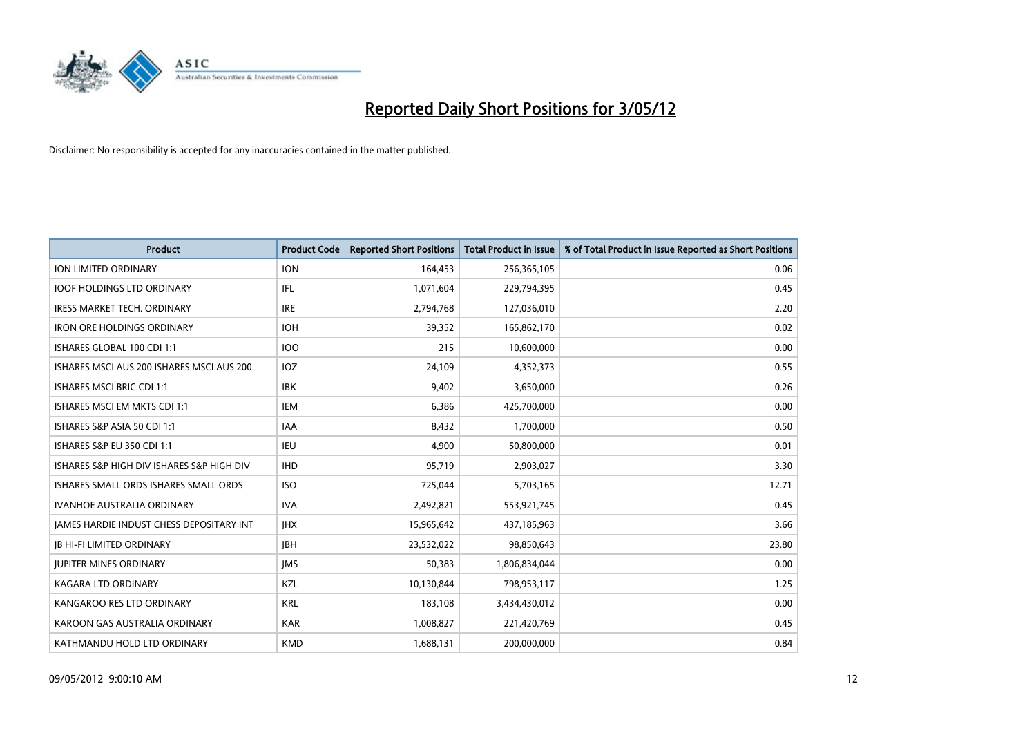

| <b>Product</b>                                  | <b>Product Code</b> | <b>Reported Short Positions</b> | <b>Total Product in Issue</b> | % of Total Product in Issue Reported as Short Positions |
|-------------------------------------------------|---------------------|---------------------------------|-------------------------------|---------------------------------------------------------|
| <b>ION LIMITED ORDINARY</b>                     | <b>ION</b>          | 164,453                         | 256,365,105                   | 0.06                                                    |
| <b>IOOF HOLDINGS LTD ORDINARY</b>               | IFL                 | 1,071,604                       | 229,794,395                   | 0.45                                                    |
| <b>IRESS MARKET TECH. ORDINARY</b>              | <b>IRE</b>          | 2,794,768                       | 127,036,010                   | 2.20                                                    |
| <b>IRON ORE HOLDINGS ORDINARY</b>               | <b>IOH</b>          | 39,352                          | 165,862,170                   | 0.02                                                    |
| ISHARES GLOBAL 100 CDI 1:1                      | <b>IOO</b>          | 215                             | 10,600,000                    | 0.00                                                    |
| ISHARES MSCI AUS 200 ISHARES MSCI AUS 200       | <b>IOZ</b>          | 24,109                          | 4,352,373                     | 0.55                                                    |
| <b>ISHARES MSCI BRIC CDI 1:1</b>                | <b>IBK</b>          | 9,402                           | 3,650,000                     | 0.26                                                    |
| ISHARES MSCI EM MKTS CDI 1:1                    | IEM                 | 6,386                           | 425,700,000                   | 0.00                                                    |
| ISHARES S&P ASIA 50 CDI 1:1                     | <b>IAA</b>          | 8,432                           | 1,700,000                     | 0.50                                                    |
| <b>ISHARES S&amp;P EU 350 CDI 1:1</b>           | <b>IEU</b>          | 4,900                           | 50,800,000                    | 0.01                                                    |
| ISHARES S&P HIGH DIV ISHARES S&P HIGH DIV       | <b>IHD</b>          | 95,719                          | 2,903,027                     | 3.30                                                    |
| ISHARES SMALL ORDS ISHARES SMALL ORDS           | <b>ISO</b>          | 725,044                         | 5,703,165                     | 12.71                                                   |
| <b>IVANHOE AUSTRALIA ORDINARY</b>               | <b>IVA</b>          | 2,492,821                       | 553,921,745                   | 0.45                                                    |
| <b>JAMES HARDIE INDUST CHESS DEPOSITARY INT</b> | <b>JHX</b>          | 15,965,642                      | 437,185,963                   | 3.66                                                    |
| <b>JB HI-FI LIMITED ORDINARY</b>                | <b>JBH</b>          | 23,532,022                      | 98,850,643                    | 23.80                                                   |
| <b>JUPITER MINES ORDINARY</b>                   | <b>IMS</b>          | 50,383                          | 1,806,834,044                 | 0.00                                                    |
| KAGARA LTD ORDINARY                             | KZL                 | 10,130,844                      | 798,953,117                   | 1.25                                                    |
| KANGAROO RES LTD ORDINARY                       | <b>KRL</b>          | 183,108                         | 3,434,430,012                 | 0.00                                                    |
| KAROON GAS AUSTRALIA ORDINARY                   | <b>KAR</b>          | 1,008,827                       | 221,420,769                   | 0.45                                                    |
| KATHMANDU HOLD LTD ORDINARY                     | <b>KMD</b>          | 1,688,131                       | 200,000,000                   | 0.84                                                    |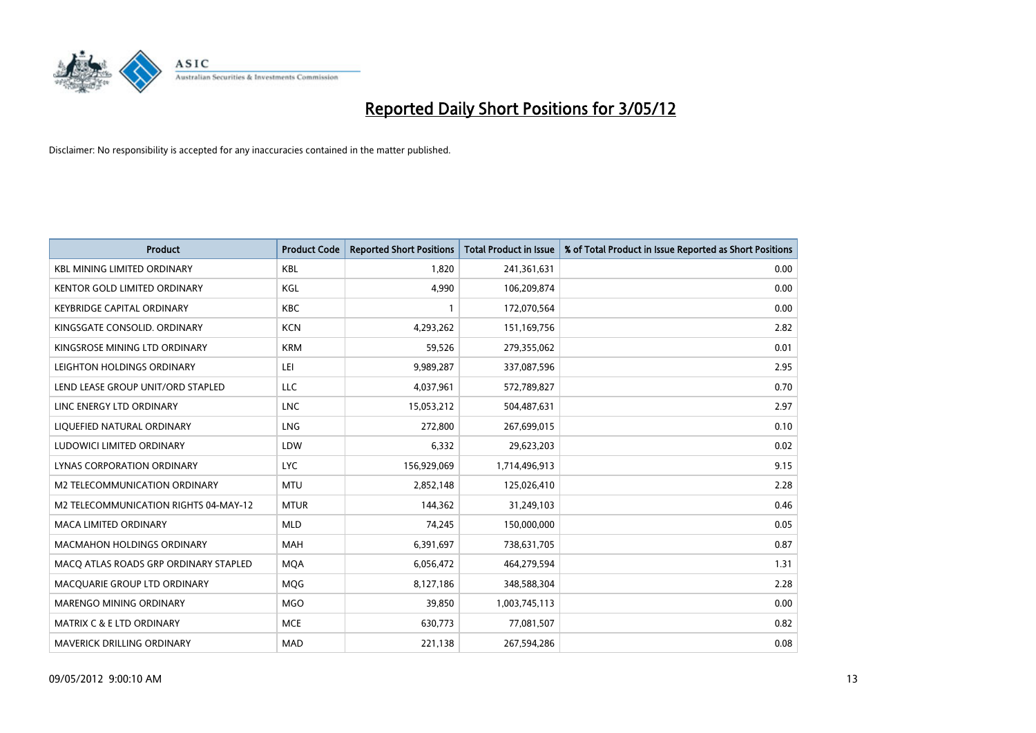

| <b>Product</b>                        | <b>Product Code</b> | <b>Reported Short Positions</b> | <b>Total Product in Issue</b> | % of Total Product in Issue Reported as Short Positions |
|---------------------------------------|---------------------|---------------------------------|-------------------------------|---------------------------------------------------------|
| <b>KBL MINING LIMITED ORDINARY</b>    | <b>KBL</b>          | 1,820                           | 241,361,631                   | 0.00                                                    |
| KENTOR GOLD LIMITED ORDINARY          | KGL                 | 4,990                           | 106,209,874                   | 0.00                                                    |
| <b>KEYBRIDGE CAPITAL ORDINARY</b>     | <b>KBC</b>          | 1                               | 172,070,564                   | 0.00                                                    |
| KINGSGATE CONSOLID. ORDINARY          | <b>KCN</b>          | 4,293,262                       | 151,169,756                   | 2.82                                                    |
| KINGSROSE MINING LTD ORDINARY         | <b>KRM</b>          | 59,526                          | 279,355,062                   | 0.01                                                    |
| LEIGHTON HOLDINGS ORDINARY            | LEI                 | 9,989,287                       | 337,087,596                   | 2.95                                                    |
| LEND LEASE GROUP UNIT/ORD STAPLED     | LLC                 | 4,037,961                       | 572,789,827                   | 0.70                                                    |
| LINC ENERGY LTD ORDINARY              | <b>LNC</b>          | 15,053,212                      | 504,487,631                   | 2.97                                                    |
| LIQUEFIED NATURAL ORDINARY            | <b>LNG</b>          | 272,800                         | 267,699,015                   | 0.10                                                    |
| LUDOWICI LIMITED ORDINARY             | LDW                 | 6,332                           | 29,623,203                    | 0.02                                                    |
| LYNAS CORPORATION ORDINARY            | <b>LYC</b>          | 156,929,069                     | 1,714,496,913                 | 9.15                                                    |
| M2 TELECOMMUNICATION ORDINARY         | <b>MTU</b>          | 2,852,148                       | 125,026,410                   | 2.28                                                    |
| M2 TELECOMMUNICATION RIGHTS 04-MAY-12 | <b>MTUR</b>         | 144,362                         | 31,249,103                    | 0.46                                                    |
| <b>MACA LIMITED ORDINARY</b>          | <b>MLD</b>          | 74,245                          | 150,000,000                   | 0.05                                                    |
| <b>MACMAHON HOLDINGS ORDINARY</b>     | <b>MAH</b>          | 6,391,697                       | 738,631,705                   | 0.87                                                    |
| MACO ATLAS ROADS GRP ORDINARY STAPLED | <b>MOA</b>          | 6,056,472                       | 464,279,594                   | 1.31                                                    |
| MACQUARIE GROUP LTD ORDINARY          | <b>MQG</b>          | 8,127,186                       | 348,588,304                   | 2.28                                                    |
| MARENGO MINING ORDINARY               | <b>MGO</b>          | 39,850                          | 1,003,745,113                 | 0.00                                                    |
| MATRIX C & E LTD ORDINARY             | <b>MCE</b>          | 630,773                         | 77,081,507                    | 0.82                                                    |
| MAVERICK DRILLING ORDINARY            | <b>MAD</b>          | 221,138                         | 267,594,286                   | 0.08                                                    |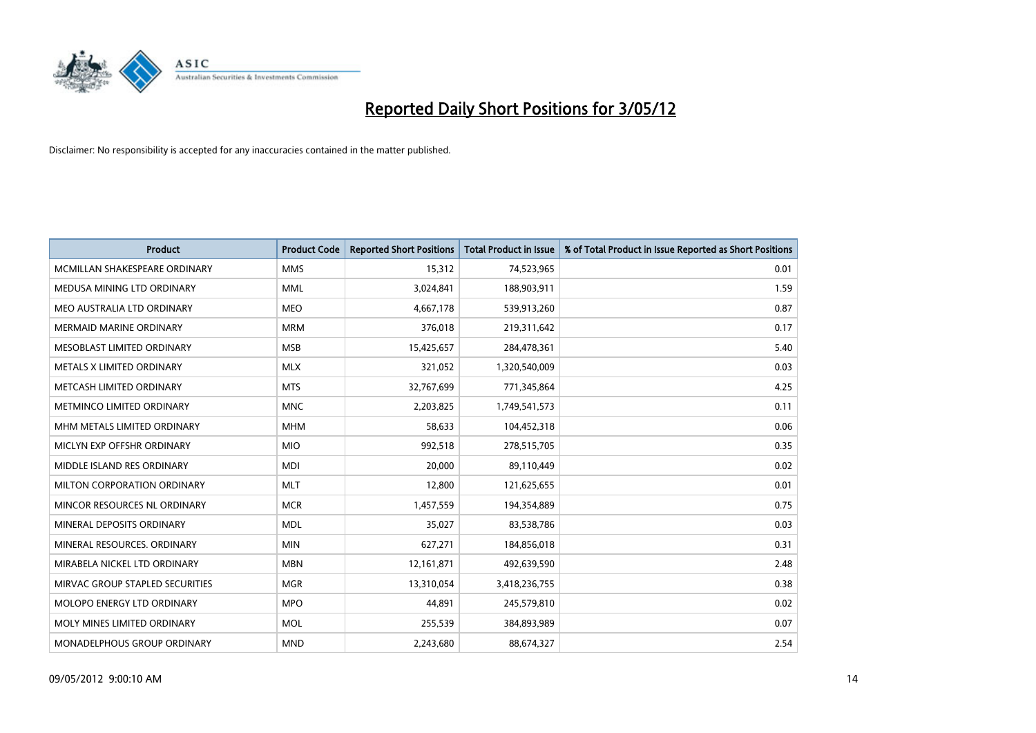

| <b>Product</b>                  | <b>Product Code</b> | <b>Reported Short Positions</b> | <b>Total Product in Issue</b> | % of Total Product in Issue Reported as Short Positions |
|---------------------------------|---------------------|---------------------------------|-------------------------------|---------------------------------------------------------|
| MCMILLAN SHAKESPEARE ORDINARY   | <b>MMS</b>          | 15,312                          | 74,523,965                    | 0.01                                                    |
| MEDUSA MINING LTD ORDINARY      | <b>MML</b>          | 3,024,841                       | 188,903,911                   | 1.59                                                    |
| MEO AUSTRALIA LTD ORDINARY      | <b>MEO</b>          | 4,667,178                       | 539,913,260                   | 0.87                                                    |
| <b>MERMAID MARINE ORDINARY</b>  | <b>MRM</b>          | 376,018                         | 219,311,642                   | 0.17                                                    |
| MESOBLAST LIMITED ORDINARY      | <b>MSB</b>          | 15,425,657                      | 284,478,361                   | 5.40                                                    |
| METALS X LIMITED ORDINARY       | <b>MLX</b>          | 321,052                         | 1,320,540,009                 | 0.03                                                    |
| METCASH LIMITED ORDINARY        | <b>MTS</b>          | 32,767,699                      | 771,345,864                   | 4.25                                                    |
| METMINCO LIMITED ORDINARY       | <b>MNC</b>          | 2,203,825                       | 1,749,541,573                 | 0.11                                                    |
| MHM METALS LIMITED ORDINARY     | <b>MHM</b>          | 58,633                          | 104,452,318                   | 0.06                                                    |
| MICLYN EXP OFFSHR ORDINARY      | <b>MIO</b>          | 992,518                         | 278,515,705                   | 0.35                                                    |
| MIDDLE ISLAND RES ORDINARY      | <b>MDI</b>          | 20,000                          | 89,110,449                    | 0.02                                                    |
| MILTON CORPORATION ORDINARY     | <b>MLT</b>          | 12,800                          | 121,625,655                   | 0.01                                                    |
| MINCOR RESOURCES NL ORDINARY    | <b>MCR</b>          | 1,457,559                       | 194,354,889                   | 0.75                                                    |
| MINERAL DEPOSITS ORDINARY       | <b>MDL</b>          | 35,027                          | 83,538,786                    | 0.03                                                    |
| MINERAL RESOURCES, ORDINARY     | <b>MIN</b>          | 627,271                         | 184,856,018                   | 0.31                                                    |
| MIRABELA NICKEL LTD ORDINARY    | <b>MBN</b>          | 12,161,871                      | 492,639,590                   | 2.48                                                    |
| MIRVAC GROUP STAPLED SECURITIES | <b>MGR</b>          | 13,310,054                      | 3,418,236,755                 | 0.38                                                    |
| MOLOPO ENERGY LTD ORDINARY      | <b>MPO</b>          | 44,891                          | 245,579,810                   | 0.02                                                    |
| MOLY MINES LIMITED ORDINARY     | <b>MOL</b>          | 255,539                         | 384,893,989                   | 0.07                                                    |
| MONADELPHOUS GROUP ORDINARY     | <b>MND</b>          | 2,243,680                       | 88,674,327                    | 2.54                                                    |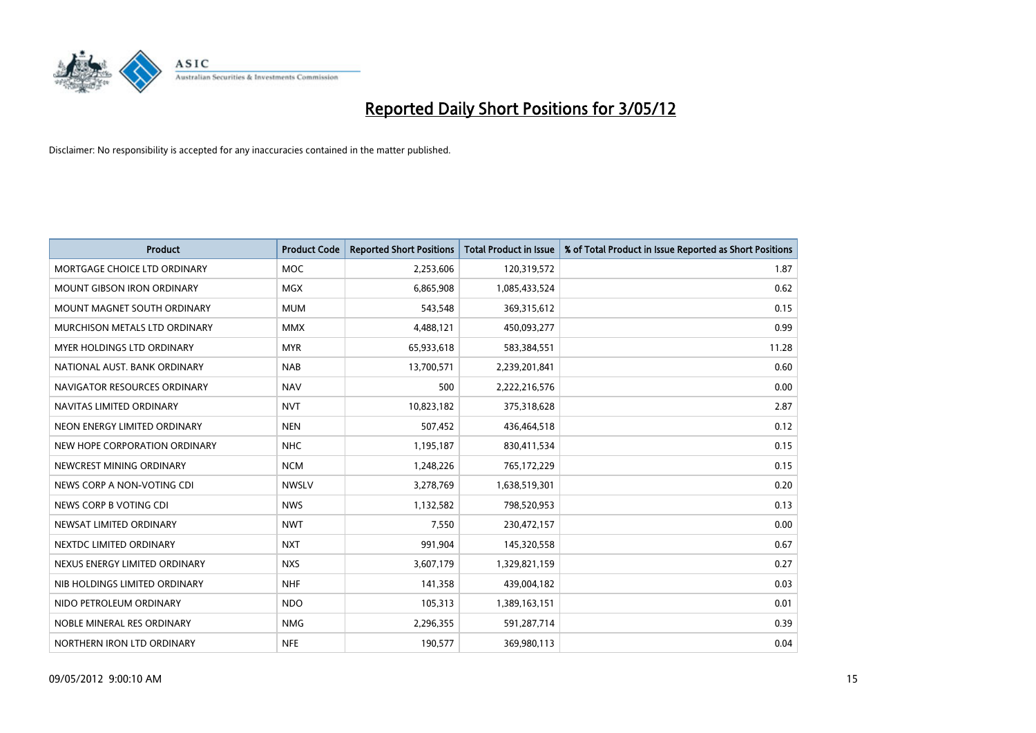

| <b>Product</b>                    | <b>Product Code</b> | <b>Reported Short Positions</b> | <b>Total Product in Issue</b> | % of Total Product in Issue Reported as Short Positions |
|-----------------------------------|---------------------|---------------------------------|-------------------------------|---------------------------------------------------------|
| MORTGAGE CHOICE LTD ORDINARY      | <b>MOC</b>          | 2,253,606                       | 120,319,572                   | 1.87                                                    |
| <b>MOUNT GIBSON IRON ORDINARY</b> | <b>MGX</b>          | 6,865,908                       | 1,085,433,524                 | 0.62                                                    |
| MOUNT MAGNET SOUTH ORDINARY       | <b>MUM</b>          | 543,548                         | 369,315,612                   | 0.15                                                    |
| MURCHISON METALS LTD ORDINARY     | <b>MMX</b>          | 4,488,121                       | 450,093,277                   | 0.99                                                    |
| MYER HOLDINGS LTD ORDINARY        | <b>MYR</b>          | 65,933,618                      | 583,384,551                   | 11.28                                                   |
| NATIONAL AUST. BANK ORDINARY      | <b>NAB</b>          | 13,700,571                      | 2,239,201,841                 | 0.60                                                    |
| NAVIGATOR RESOURCES ORDINARY      | <b>NAV</b>          | 500                             | 2,222,216,576                 | 0.00                                                    |
| NAVITAS LIMITED ORDINARY          | <b>NVT</b>          | 10,823,182                      | 375,318,628                   | 2.87                                                    |
| NEON ENERGY LIMITED ORDINARY      | <b>NEN</b>          | 507,452                         | 436,464,518                   | 0.12                                                    |
| NEW HOPE CORPORATION ORDINARY     | <b>NHC</b>          | 1,195,187                       | 830,411,534                   | 0.15                                                    |
| NEWCREST MINING ORDINARY          | <b>NCM</b>          | 1,248,226                       | 765,172,229                   | 0.15                                                    |
| NEWS CORP A NON-VOTING CDI        | <b>NWSLV</b>        | 3,278,769                       | 1,638,519,301                 | 0.20                                                    |
| NEWS CORP B VOTING CDI            | <b>NWS</b>          | 1,132,582                       | 798,520,953                   | 0.13                                                    |
| NEWSAT LIMITED ORDINARY           | <b>NWT</b>          | 7,550                           | 230,472,157                   | 0.00                                                    |
| NEXTDC LIMITED ORDINARY           | <b>NXT</b>          | 991,904                         | 145,320,558                   | 0.67                                                    |
| NEXUS ENERGY LIMITED ORDINARY     | <b>NXS</b>          | 3,607,179                       | 1,329,821,159                 | 0.27                                                    |
| NIB HOLDINGS LIMITED ORDINARY     | <b>NHF</b>          | 141,358                         | 439,004,182                   | 0.03                                                    |
| NIDO PETROLEUM ORDINARY           | <b>NDO</b>          | 105,313                         | 1,389,163,151                 | 0.01                                                    |
| NOBLE MINERAL RES ORDINARY        | <b>NMG</b>          | 2,296,355                       | 591,287,714                   | 0.39                                                    |
| NORTHERN IRON LTD ORDINARY        | <b>NFE</b>          | 190,577                         | 369,980,113                   | 0.04                                                    |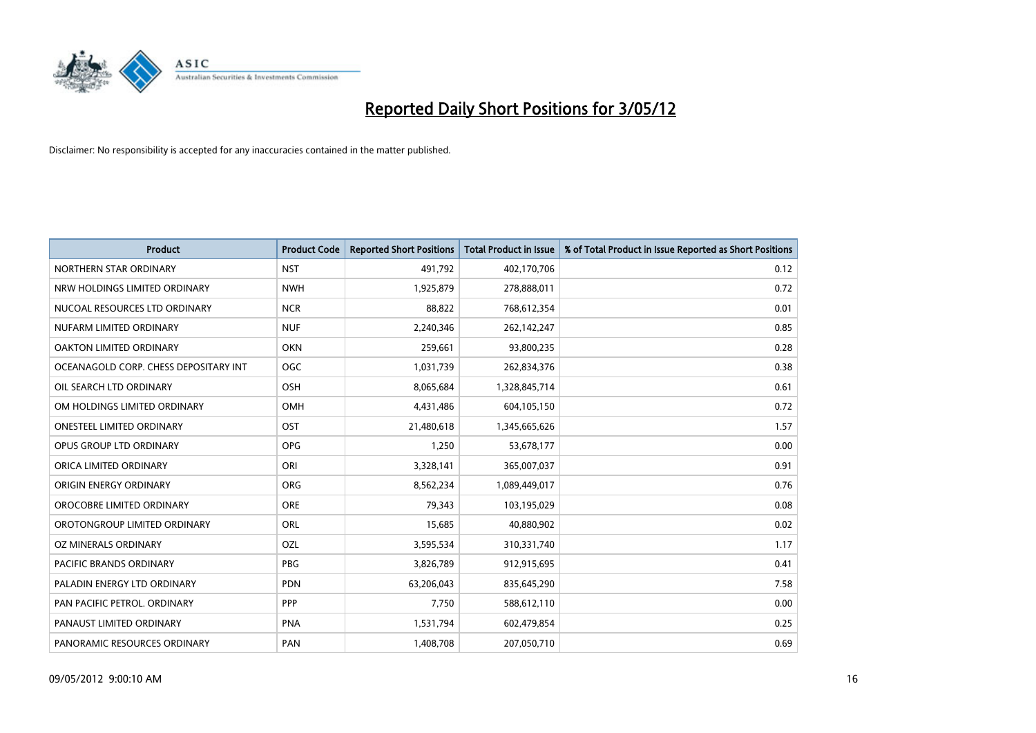

| <b>Product</b>                        | <b>Product Code</b> | <b>Reported Short Positions</b> | <b>Total Product in Issue</b> | % of Total Product in Issue Reported as Short Positions |
|---------------------------------------|---------------------|---------------------------------|-------------------------------|---------------------------------------------------------|
| NORTHERN STAR ORDINARY                | <b>NST</b>          | 491,792                         | 402,170,706                   | 0.12                                                    |
| NRW HOLDINGS LIMITED ORDINARY         | <b>NWH</b>          | 1,925,879                       | 278,888,011                   | 0.72                                                    |
| NUCOAL RESOURCES LTD ORDINARY         | <b>NCR</b>          | 88,822                          | 768,612,354                   | 0.01                                                    |
| NUFARM LIMITED ORDINARY               | <b>NUF</b>          | 2,240,346                       | 262,142,247                   | 0.85                                                    |
| OAKTON LIMITED ORDINARY               | <b>OKN</b>          | 259,661                         | 93,800,235                    | 0.28                                                    |
| OCEANAGOLD CORP. CHESS DEPOSITARY INT | <b>OGC</b>          | 1,031,739                       | 262,834,376                   | 0.38                                                    |
| OIL SEARCH LTD ORDINARY               | OSH                 | 8,065,684                       | 1,328,845,714                 | 0.61                                                    |
| OM HOLDINGS LIMITED ORDINARY          | OMH                 | 4,431,486                       | 604,105,150                   | 0.72                                                    |
| <b>ONESTEEL LIMITED ORDINARY</b>      | OST                 | 21,480,618                      | 1,345,665,626                 | 1.57                                                    |
| OPUS GROUP LTD ORDINARY               | <b>OPG</b>          | 1,250                           | 53,678,177                    | 0.00                                                    |
| ORICA LIMITED ORDINARY                | ORI                 | 3,328,141                       | 365,007,037                   | 0.91                                                    |
| ORIGIN ENERGY ORDINARY                | <b>ORG</b>          | 8,562,234                       | 1,089,449,017                 | 0.76                                                    |
| OROCOBRE LIMITED ORDINARY             | <b>ORE</b>          | 79,343                          | 103,195,029                   | 0.08                                                    |
| OROTONGROUP LIMITED ORDINARY          | ORL                 | 15,685                          | 40,880,902                    | 0.02                                                    |
| <b>OZ MINERALS ORDINARY</b>           | <b>OZL</b>          | 3,595,534                       | 310,331,740                   | 1.17                                                    |
| PACIFIC BRANDS ORDINARY               | <b>PBG</b>          | 3,826,789                       | 912,915,695                   | 0.41                                                    |
| PALADIN ENERGY LTD ORDINARY           | <b>PDN</b>          | 63,206,043                      | 835,645,290                   | 7.58                                                    |
| PAN PACIFIC PETROL. ORDINARY          | <b>PPP</b>          | 7,750                           | 588,612,110                   | 0.00                                                    |
| PANAUST LIMITED ORDINARY              | <b>PNA</b>          | 1,531,794                       | 602,479,854                   | 0.25                                                    |
| PANORAMIC RESOURCES ORDINARY          | PAN                 | 1,408,708                       | 207,050,710                   | 0.69                                                    |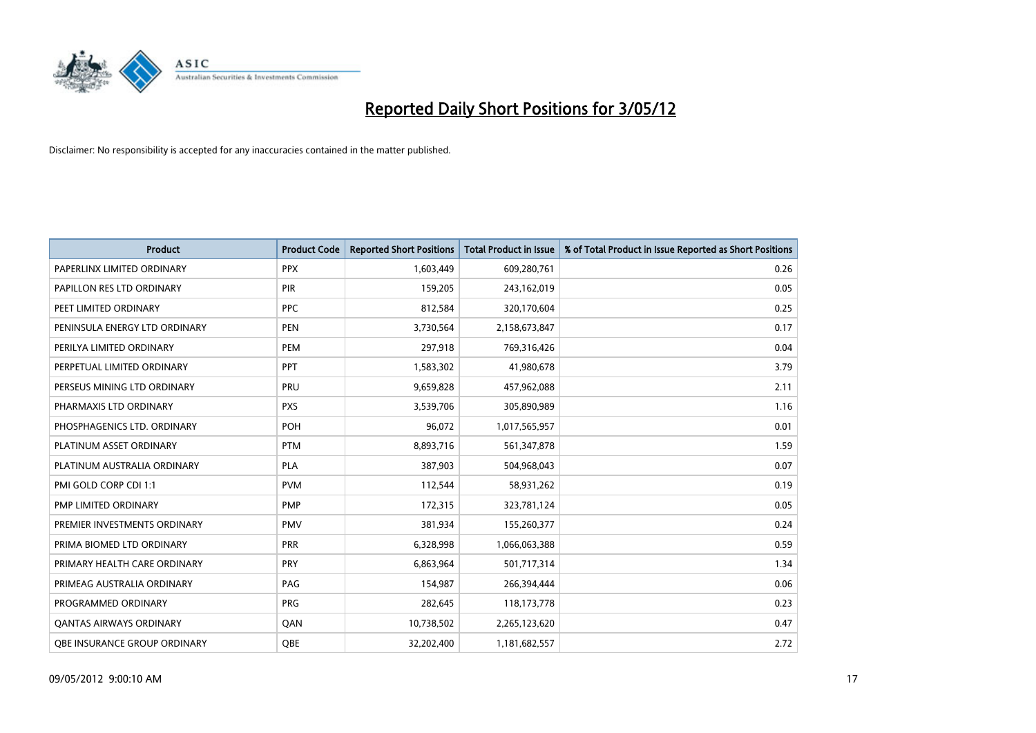

| <b>Product</b>                 | <b>Product Code</b> | <b>Reported Short Positions</b> | <b>Total Product in Issue</b> | % of Total Product in Issue Reported as Short Positions |
|--------------------------------|---------------------|---------------------------------|-------------------------------|---------------------------------------------------------|
| PAPERLINX LIMITED ORDINARY     | <b>PPX</b>          | 1,603,449                       | 609,280,761                   | 0.26                                                    |
| PAPILLON RES LTD ORDINARY      | PIR                 | 159,205                         | 243,162,019                   | 0.05                                                    |
| PEET LIMITED ORDINARY          | <b>PPC</b>          | 812,584                         | 320,170,604                   | 0.25                                                    |
| PENINSULA ENERGY LTD ORDINARY  | <b>PEN</b>          | 3,730,564                       | 2,158,673,847                 | 0.17                                                    |
| PERILYA LIMITED ORDINARY       | PEM                 | 297,918                         | 769,316,426                   | 0.04                                                    |
| PERPETUAL LIMITED ORDINARY     | PPT                 | 1,583,302                       | 41,980,678                    | 3.79                                                    |
| PERSEUS MINING LTD ORDINARY    | <b>PRU</b>          | 9,659,828                       | 457,962,088                   | 2.11                                                    |
| PHARMAXIS LTD ORDINARY         | <b>PXS</b>          | 3,539,706                       | 305,890,989                   | 1.16                                                    |
| PHOSPHAGENICS LTD. ORDINARY    | POH                 | 96,072                          | 1,017,565,957                 | 0.01                                                    |
| PLATINUM ASSET ORDINARY        | <b>PTM</b>          | 8,893,716                       | 561,347,878                   | 1.59                                                    |
| PLATINUM AUSTRALIA ORDINARY    | <b>PLA</b>          | 387,903                         | 504,968,043                   | 0.07                                                    |
| PMI GOLD CORP CDI 1:1          | <b>PVM</b>          | 112,544                         | 58,931,262                    | 0.19                                                    |
| PMP LIMITED ORDINARY           | <b>PMP</b>          | 172,315                         | 323,781,124                   | 0.05                                                    |
| PREMIER INVESTMENTS ORDINARY   | <b>PMV</b>          | 381,934                         | 155,260,377                   | 0.24                                                    |
| PRIMA BIOMED LTD ORDINARY      | <b>PRR</b>          | 6,328,998                       | 1,066,063,388                 | 0.59                                                    |
| PRIMARY HEALTH CARE ORDINARY   | <b>PRY</b>          | 6,863,964                       | 501,717,314                   | 1.34                                                    |
| PRIMEAG AUSTRALIA ORDINARY     | PAG                 | 154,987                         | 266,394,444                   | 0.06                                                    |
| PROGRAMMED ORDINARY            | <b>PRG</b>          | 282,645                         | 118,173,778                   | 0.23                                                    |
| <b>QANTAS AIRWAYS ORDINARY</b> | QAN                 | 10,738,502                      | 2,265,123,620                 | 0.47                                                    |
| OBE INSURANCE GROUP ORDINARY   | OBE                 | 32,202,400                      | 1,181,682,557                 | 2.72                                                    |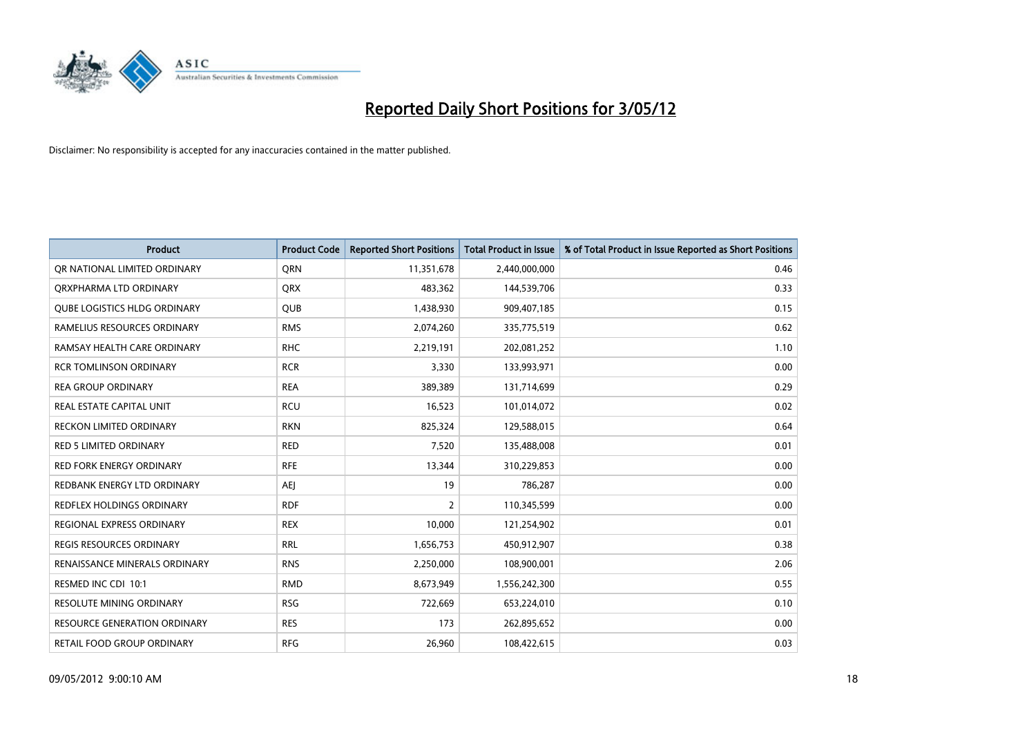

| <b>Product</b>                      | <b>Product Code</b> | <b>Reported Short Positions</b> | <b>Total Product in Issue</b> | % of Total Product in Issue Reported as Short Positions |
|-------------------------------------|---------------------|---------------------------------|-------------------------------|---------------------------------------------------------|
| OR NATIONAL LIMITED ORDINARY        | <b>ORN</b>          | 11,351,678                      | 2,440,000,000                 | 0.46                                                    |
| ORXPHARMA LTD ORDINARY              | <b>QRX</b>          | 483,362                         | 144,539,706                   | 0.33                                                    |
| <b>QUBE LOGISTICS HLDG ORDINARY</b> | QUB                 | 1,438,930                       | 909,407,185                   | 0.15                                                    |
| RAMELIUS RESOURCES ORDINARY         | <b>RMS</b>          | 2,074,260                       | 335,775,519                   | 0.62                                                    |
| RAMSAY HEALTH CARE ORDINARY         | <b>RHC</b>          | 2,219,191                       | 202,081,252                   | 1.10                                                    |
| <b>RCR TOMLINSON ORDINARY</b>       | <b>RCR</b>          | 3,330                           | 133,993,971                   | 0.00                                                    |
| <b>REA GROUP ORDINARY</b>           | <b>REA</b>          | 389,389                         | 131,714,699                   | 0.29                                                    |
| REAL ESTATE CAPITAL UNIT            | <b>RCU</b>          | 16,523                          | 101,014,072                   | 0.02                                                    |
| RECKON LIMITED ORDINARY             | <b>RKN</b>          | 825,324                         | 129,588,015                   | 0.64                                                    |
| <b>RED 5 LIMITED ORDINARY</b>       | <b>RED</b>          | 7,520                           | 135,488,008                   | 0.01                                                    |
| <b>RED FORK ENERGY ORDINARY</b>     | <b>RFE</b>          | 13,344                          | 310,229,853                   | 0.00                                                    |
| REDBANK ENERGY LTD ORDINARY         | <b>AEI</b>          | 19                              | 786,287                       | 0.00                                                    |
| REDFLEX HOLDINGS ORDINARY           | <b>RDF</b>          | $\overline{2}$                  | 110,345,599                   | 0.00                                                    |
| <b>REGIONAL EXPRESS ORDINARY</b>    | <b>REX</b>          | 10,000                          | 121,254,902                   | 0.01                                                    |
| <b>REGIS RESOURCES ORDINARY</b>     | <b>RRL</b>          | 1,656,753                       | 450,912,907                   | 0.38                                                    |
| RENAISSANCE MINERALS ORDINARY       | <b>RNS</b>          | 2,250,000                       | 108,900,001                   | 2.06                                                    |
| RESMED INC CDI 10:1                 | <b>RMD</b>          | 8,673,949                       | 1,556,242,300                 | 0.55                                                    |
| RESOLUTE MINING ORDINARY            | <b>RSG</b>          | 722,669                         | 653,224,010                   | 0.10                                                    |
| <b>RESOURCE GENERATION ORDINARY</b> | <b>RES</b>          | 173                             | 262,895,652                   | 0.00                                                    |
| RETAIL FOOD GROUP ORDINARY          | <b>RFG</b>          | 26,960                          | 108,422,615                   | 0.03                                                    |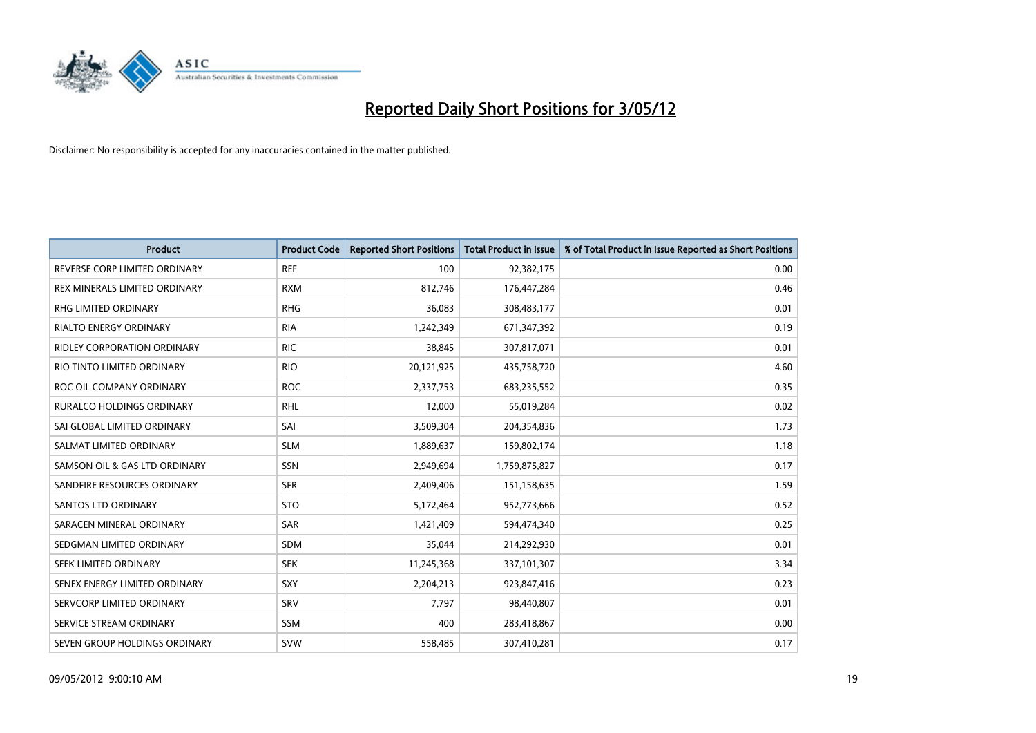

| <b>Product</b>                       | <b>Product Code</b> | <b>Reported Short Positions</b> | <b>Total Product in Issue</b> | % of Total Product in Issue Reported as Short Positions |
|--------------------------------------|---------------------|---------------------------------|-------------------------------|---------------------------------------------------------|
| REVERSE CORP LIMITED ORDINARY        | <b>REF</b>          | 100                             | 92,382,175                    | 0.00                                                    |
| <b>REX MINERALS LIMITED ORDINARY</b> | <b>RXM</b>          | 812,746                         | 176,447,284                   | 0.46                                                    |
| RHG LIMITED ORDINARY                 | <b>RHG</b>          | 36,083                          | 308,483,177                   | 0.01                                                    |
| RIALTO ENERGY ORDINARY               | <b>RIA</b>          | 1,242,349                       | 671,347,392                   | 0.19                                                    |
| <b>RIDLEY CORPORATION ORDINARY</b>   | <b>RIC</b>          | 38,845                          | 307,817,071                   | 0.01                                                    |
| RIO TINTO LIMITED ORDINARY           | <b>RIO</b>          | 20,121,925                      | 435,758,720                   | 4.60                                                    |
| ROC OIL COMPANY ORDINARY             | <b>ROC</b>          | 2,337,753                       | 683,235,552                   | 0.35                                                    |
| <b>RURALCO HOLDINGS ORDINARY</b>     | <b>RHL</b>          | 12,000                          | 55,019,284                    | 0.02                                                    |
| SAI GLOBAL LIMITED ORDINARY          | SAI                 | 3,509,304                       | 204,354,836                   | 1.73                                                    |
| SALMAT LIMITED ORDINARY              | <b>SLM</b>          | 1,889,637                       | 159,802,174                   | 1.18                                                    |
| SAMSON OIL & GAS LTD ORDINARY        | SSN                 | 2,949,694                       | 1,759,875,827                 | 0.17                                                    |
| SANDFIRE RESOURCES ORDINARY          | <b>SFR</b>          | 2,409,406                       | 151,158,635                   | 1.59                                                    |
| SANTOS LTD ORDINARY                  | <b>STO</b>          | 5,172,464                       | 952,773,666                   | 0.52                                                    |
| SARACEN MINERAL ORDINARY             | <b>SAR</b>          | 1,421,409                       | 594,474,340                   | 0.25                                                    |
| SEDGMAN LIMITED ORDINARY             | <b>SDM</b>          | 35,044                          | 214,292,930                   | 0.01                                                    |
| SEEK LIMITED ORDINARY                | <b>SEK</b>          | 11,245,368                      | 337,101,307                   | 3.34                                                    |
| SENEX ENERGY LIMITED ORDINARY        | SXY                 | 2,204,213                       | 923,847,416                   | 0.23                                                    |
| SERVCORP LIMITED ORDINARY            | SRV                 | 7.797                           | 98,440,807                    | 0.01                                                    |
| SERVICE STREAM ORDINARY              | <b>SSM</b>          | 400                             | 283,418,867                   | 0.00                                                    |
| SEVEN GROUP HOLDINGS ORDINARY        | <b>SVW</b>          | 558,485                         | 307,410,281                   | 0.17                                                    |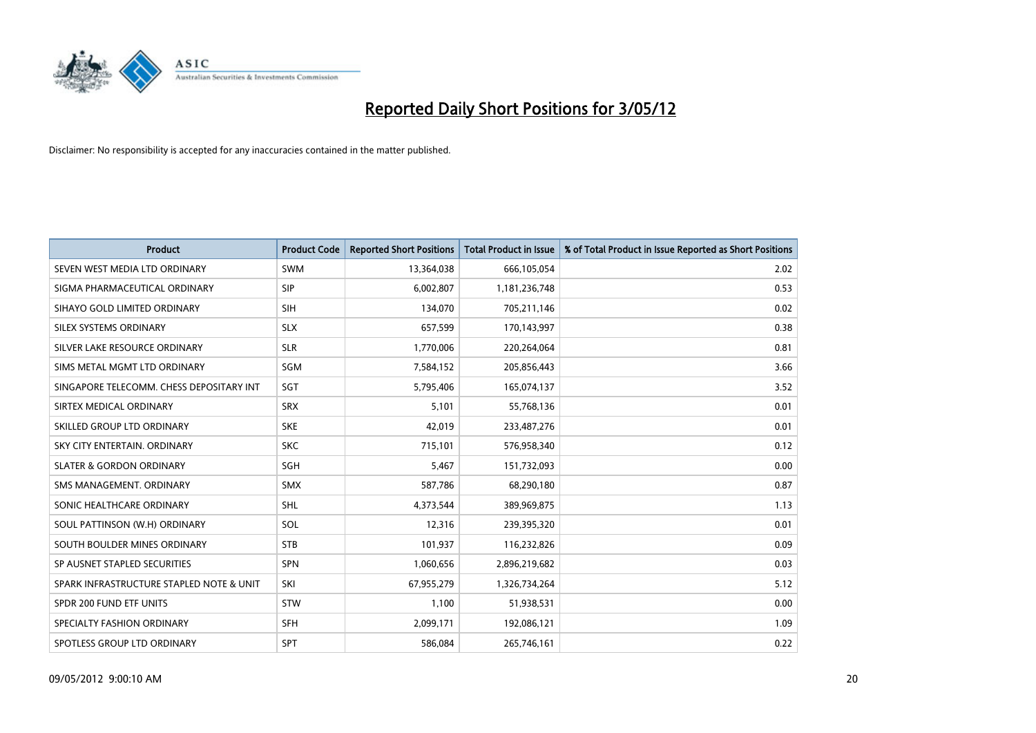

| <b>Product</b>                           | <b>Product Code</b> | <b>Reported Short Positions</b> | <b>Total Product in Issue</b> | % of Total Product in Issue Reported as Short Positions |
|------------------------------------------|---------------------|---------------------------------|-------------------------------|---------------------------------------------------------|
| SEVEN WEST MEDIA LTD ORDINARY            | <b>SWM</b>          | 13,364,038                      | 666,105,054                   | 2.02                                                    |
| SIGMA PHARMACEUTICAL ORDINARY            | <b>SIP</b>          | 6,002,807                       | 1,181,236,748                 | 0.53                                                    |
| SIHAYO GOLD LIMITED ORDINARY             | SIH                 | 134,070                         | 705,211,146                   | 0.02                                                    |
| SILEX SYSTEMS ORDINARY                   | <b>SLX</b>          | 657,599                         | 170,143,997                   | 0.38                                                    |
| SILVER LAKE RESOURCE ORDINARY            | <b>SLR</b>          | 1,770,006                       | 220,264,064                   | 0.81                                                    |
| SIMS METAL MGMT LTD ORDINARY             | SGM                 | 7,584,152                       | 205,856,443                   | 3.66                                                    |
| SINGAPORE TELECOMM. CHESS DEPOSITARY INT | SGT                 | 5,795,406                       | 165,074,137                   | 3.52                                                    |
| SIRTEX MEDICAL ORDINARY                  | <b>SRX</b>          | 5,101                           | 55,768,136                    | 0.01                                                    |
| SKILLED GROUP LTD ORDINARY               | <b>SKE</b>          | 42,019                          | 233,487,276                   | 0.01                                                    |
| SKY CITY ENTERTAIN, ORDINARY             | <b>SKC</b>          | 715,101                         | 576,958,340                   | 0.12                                                    |
| <b>SLATER &amp; GORDON ORDINARY</b>      | SGH                 | 5,467                           | 151,732,093                   | 0.00                                                    |
| SMS MANAGEMENT, ORDINARY                 | <b>SMX</b>          | 587,786                         | 68,290,180                    | 0.87                                                    |
| SONIC HEALTHCARE ORDINARY                | <b>SHL</b>          | 4,373,544                       | 389,969,875                   | 1.13                                                    |
| SOUL PATTINSON (W.H) ORDINARY            | SOL                 | 12,316                          | 239,395,320                   | 0.01                                                    |
| SOUTH BOULDER MINES ORDINARY             | <b>STB</b>          | 101,937                         | 116,232,826                   | 0.09                                                    |
| SP AUSNET STAPLED SECURITIES             | SPN                 | 1,060,656                       | 2,896,219,682                 | 0.03                                                    |
| SPARK INFRASTRUCTURE STAPLED NOTE & UNIT | SKI                 | 67,955,279                      | 1,326,734,264                 | 5.12                                                    |
| SPDR 200 FUND ETF UNITS                  | <b>STW</b>          | 1,100                           | 51,938,531                    | 0.00                                                    |
| SPECIALTY FASHION ORDINARY               | <b>SFH</b>          | 2,099,171                       | 192,086,121                   | 1.09                                                    |
| SPOTLESS GROUP LTD ORDINARY              | <b>SPT</b>          | 586,084                         | 265,746,161                   | 0.22                                                    |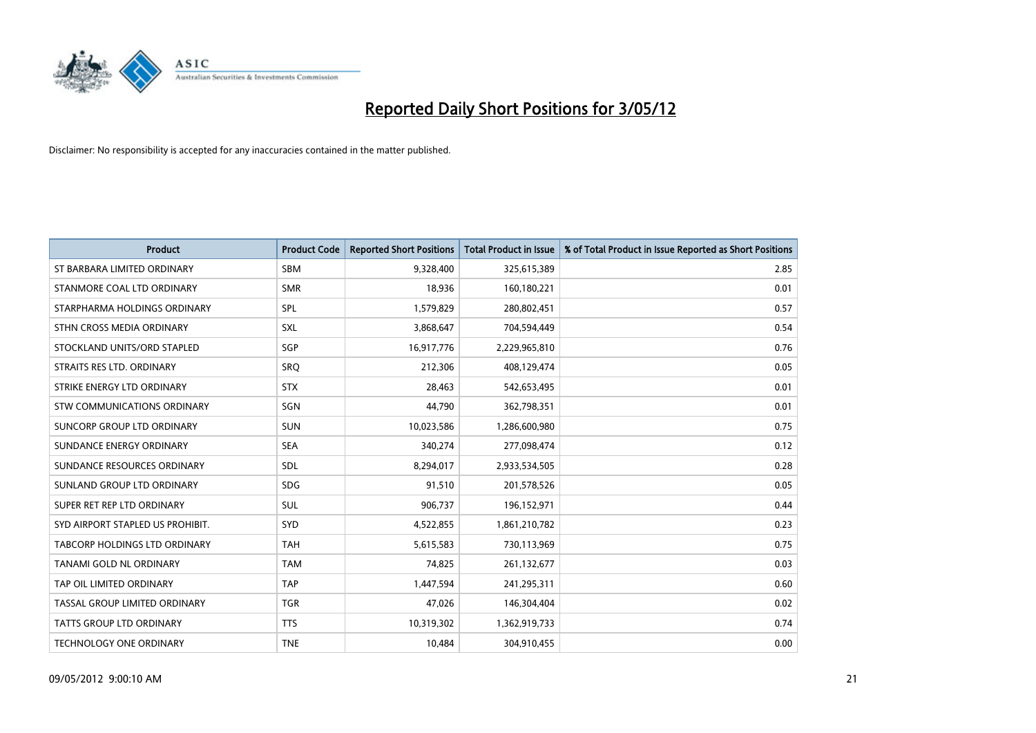

| <b>Product</b>                   | <b>Product Code</b> | <b>Reported Short Positions</b> | <b>Total Product in Issue</b> | % of Total Product in Issue Reported as Short Positions |
|----------------------------------|---------------------|---------------------------------|-------------------------------|---------------------------------------------------------|
| ST BARBARA LIMITED ORDINARY      | <b>SBM</b>          | 9,328,400                       | 325,615,389                   | 2.85                                                    |
| STANMORE COAL LTD ORDINARY       | <b>SMR</b>          | 18,936                          | 160,180,221                   | 0.01                                                    |
| STARPHARMA HOLDINGS ORDINARY     | <b>SPL</b>          | 1,579,829                       | 280,802,451                   | 0.57                                                    |
| STHN CROSS MEDIA ORDINARY        | <b>SXL</b>          | 3,868,647                       | 704,594,449                   | 0.54                                                    |
| STOCKLAND UNITS/ORD STAPLED      | SGP                 | 16,917,776                      | 2,229,965,810                 | 0.76                                                    |
| STRAITS RES LTD. ORDINARY        | <b>SRQ</b>          | 212,306                         | 408,129,474                   | 0.05                                                    |
| STRIKE ENERGY LTD ORDINARY       | <b>STX</b>          | 28,463                          | 542,653,495                   | 0.01                                                    |
| STW COMMUNICATIONS ORDINARY      | SGN                 | 44,790                          | 362,798,351                   | 0.01                                                    |
| SUNCORP GROUP LTD ORDINARY       | <b>SUN</b>          | 10,023,586                      | 1,286,600,980                 | 0.75                                                    |
| SUNDANCE ENERGY ORDINARY         | <b>SEA</b>          | 340,274                         | 277,098,474                   | 0.12                                                    |
| SUNDANCE RESOURCES ORDINARY      | SDL                 | 8,294,017                       | 2,933,534,505                 | 0.28                                                    |
| SUNLAND GROUP LTD ORDINARY       | <b>SDG</b>          | 91,510                          | 201,578,526                   | 0.05                                                    |
| SUPER RET REP LTD ORDINARY       | SUL                 | 906,737                         | 196,152,971                   | 0.44                                                    |
| SYD AIRPORT STAPLED US PROHIBIT. | <b>SYD</b>          | 4,522,855                       | 1,861,210,782                 | 0.23                                                    |
| TABCORP HOLDINGS LTD ORDINARY    | <b>TAH</b>          | 5,615,583                       | 730,113,969                   | 0.75                                                    |
| TANAMI GOLD NL ORDINARY          | <b>TAM</b>          | 74,825                          | 261,132,677                   | 0.03                                                    |
| TAP OIL LIMITED ORDINARY         | <b>TAP</b>          | 1,447,594                       | 241,295,311                   | 0.60                                                    |
| TASSAL GROUP LIMITED ORDINARY    | <b>TGR</b>          | 47,026                          | 146,304,404                   | 0.02                                                    |
| <b>TATTS GROUP LTD ORDINARY</b>  | <b>TTS</b>          | 10,319,302                      | 1,362,919,733                 | 0.74                                                    |
| TECHNOLOGY ONE ORDINARY          | <b>TNE</b>          | 10,484                          | 304,910,455                   | 0.00                                                    |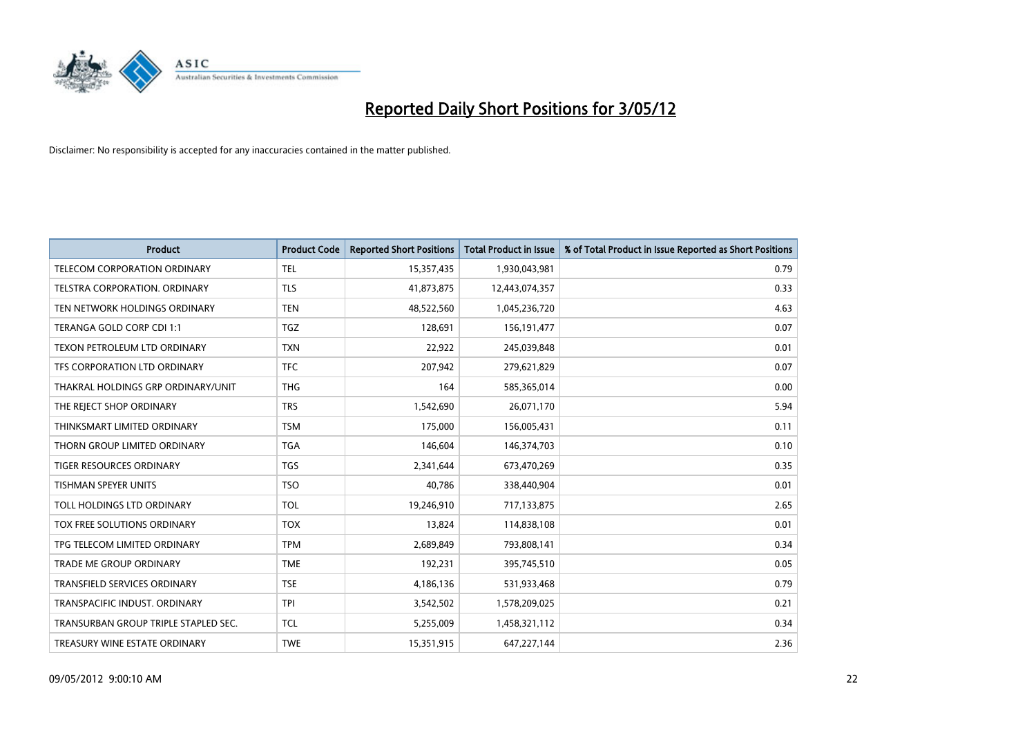

| <b>Product</b>                       | <b>Product Code</b> | <b>Reported Short Positions</b> | <b>Total Product in Issue</b> | % of Total Product in Issue Reported as Short Positions |
|--------------------------------------|---------------------|---------------------------------|-------------------------------|---------------------------------------------------------|
| TELECOM CORPORATION ORDINARY         | <b>TEL</b>          | 15,357,435                      | 1,930,043,981                 | 0.79                                                    |
| TELSTRA CORPORATION. ORDINARY        | <b>TLS</b>          | 41,873,875                      | 12,443,074,357                | 0.33                                                    |
| TEN NETWORK HOLDINGS ORDINARY        | <b>TEN</b>          | 48,522,560                      | 1,045,236,720                 | 4.63                                                    |
| TERANGA GOLD CORP CDI 1:1            | <b>TGZ</b>          | 128,691                         | 156,191,477                   | 0.07                                                    |
| TEXON PETROLEUM LTD ORDINARY         | <b>TXN</b>          | 22,922                          | 245,039,848                   | 0.01                                                    |
| TFS CORPORATION LTD ORDINARY         | <b>TFC</b>          | 207,942                         | 279,621,829                   | 0.07                                                    |
| THAKRAL HOLDINGS GRP ORDINARY/UNIT   | <b>THG</b>          | 164                             | 585,365,014                   | 0.00                                                    |
| THE REJECT SHOP ORDINARY             | <b>TRS</b>          | 1,542,690                       | 26,071,170                    | 5.94                                                    |
| THINKSMART LIMITED ORDINARY          | <b>TSM</b>          | 175,000                         | 156,005,431                   | 0.11                                                    |
| THORN GROUP LIMITED ORDINARY         | <b>TGA</b>          | 146,604                         | 146,374,703                   | 0.10                                                    |
| TIGER RESOURCES ORDINARY             | <b>TGS</b>          | 2,341,644                       | 673,470,269                   | 0.35                                                    |
| <b>TISHMAN SPEYER UNITS</b>          | <b>TSO</b>          | 40,786                          | 338,440,904                   | 0.01                                                    |
| TOLL HOLDINGS LTD ORDINARY           | <b>TOL</b>          | 19,246,910                      | 717,133,875                   | 2.65                                                    |
| TOX FREE SOLUTIONS ORDINARY          | <b>TOX</b>          | 13,824                          | 114,838,108                   | 0.01                                                    |
| TPG TELECOM LIMITED ORDINARY         | <b>TPM</b>          | 2,689,849                       | 793,808,141                   | 0.34                                                    |
| TRADE ME GROUP ORDINARY              | <b>TME</b>          | 192,231                         | 395,745,510                   | 0.05                                                    |
| TRANSFIELD SERVICES ORDINARY         | <b>TSE</b>          | 4,186,136                       | 531,933,468                   | 0.79                                                    |
| TRANSPACIFIC INDUST. ORDINARY        | <b>TPI</b>          | 3,542,502                       | 1,578,209,025                 | 0.21                                                    |
| TRANSURBAN GROUP TRIPLE STAPLED SEC. | <b>TCL</b>          | 5,255,009                       | 1,458,321,112                 | 0.34                                                    |
| TREASURY WINE ESTATE ORDINARY        | <b>TWE</b>          | 15,351,915                      | 647,227,144                   | 2.36                                                    |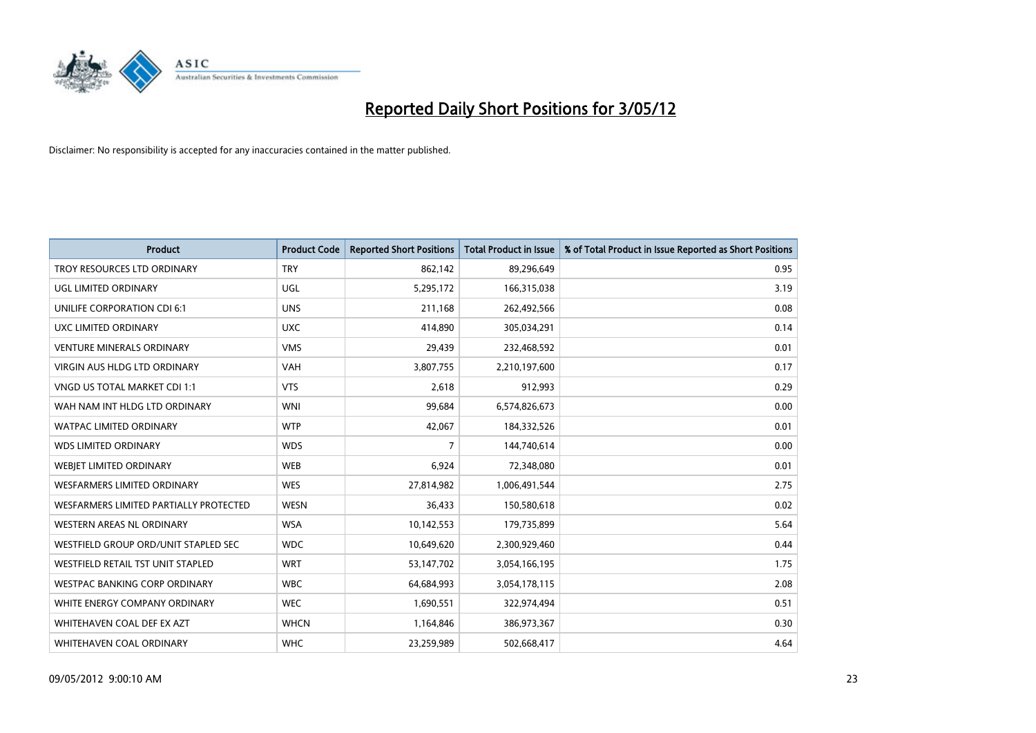

| <b>Product</b>                         | <b>Product Code</b> | <b>Reported Short Positions</b> | <b>Total Product in Issue</b> | % of Total Product in Issue Reported as Short Positions |
|----------------------------------------|---------------------|---------------------------------|-------------------------------|---------------------------------------------------------|
| TROY RESOURCES LTD ORDINARY            | <b>TRY</b>          | 862,142                         | 89,296,649                    | 0.95                                                    |
| UGL LIMITED ORDINARY                   | UGL                 | 5,295,172                       | 166,315,038                   | 3.19                                                    |
| UNILIFE CORPORATION CDI 6:1            | <b>UNS</b>          | 211,168                         | 262,492,566                   | 0.08                                                    |
| UXC LIMITED ORDINARY                   | <b>UXC</b>          | 414,890                         | 305,034,291                   | 0.14                                                    |
| <b>VENTURE MINERALS ORDINARY</b>       | <b>VMS</b>          | 29,439                          | 232,468,592                   | 0.01                                                    |
| <b>VIRGIN AUS HLDG LTD ORDINARY</b>    | <b>VAH</b>          | 3,807,755                       | 2,210,197,600                 | 0.17                                                    |
| <b>VNGD US TOTAL MARKET CDI 1:1</b>    | <b>VTS</b>          | 2,618                           | 912,993                       | 0.29                                                    |
| WAH NAM INT HLDG LTD ORDINARY          | <b>WNI</b>          | 99,684                          | 6,574,826,673                 | 0.00                                                    |
| WATPAC LIMITED ORDINARY                | <b>WTP</b>          | 42,067                          | 184,332,526                   | 0.01                                                    |
| <b>WDS LIMITED ORDINARY</b>            | <b>WDS</b>          | $\overline{7}$                  | 144,740,614                   | 0.00                                                    |
| WEBJET LIMITED ORDINARY                | <b>WEB</b>          | 6,924                           | 72,348,080                    | 0.01                                                    |
| <b>WESFARMERS LIMITED ORDINARY</b>     | <b>WES</b>          | 27,814,982                      | 1,006,491,544                 | 2.75                                                    |
| WESFARMERS LIMITED PARTIALLY PROTECTED | <b>WESN</b>         | 36,433                          | 150,580,618                   | 0.02                                                    |
| WESTERN AREAS NL ORDINARY              | <b>WSA</b>          | 10,142,553                      | 179,735,899                   | 5.64                                                    |
| WESTFIELD GROUP ORD/UNIT STAPLED SEC   | <b>WDC</b>          | 10,649,620                      | 2,300,929,460                 | 0.44                                                    |
| WESTFIELD RETAIL TST UNIT STAPLED      | <b>WRT</b>          | 53,147,702                      | 3,054,166,195                 | 1.75                                                    |
| <b>WESTPAC BANKING CORP ORDINARY</b>   | <b>WBC</b>          | 64,684,993                      | 3,054,178,115                 | 2.08                                                    |
| WHITE ENERGY COMPANY ORDINARY          | <b>WEC</b>          | 1,690,551                       | 322,974,494                   | 0.51                                                    |
| WHITEHAVEN COAL DEF EX AZT             | <b>WHCN</b>         | 1,164,846                       | 386,973,367                   | 0.30                                                    |
| WHITEHAVEN COAL ORDINARY               | <b>WHC</b>          | 23,259,989                      | 502,668,417                   | 4.64                                                    |